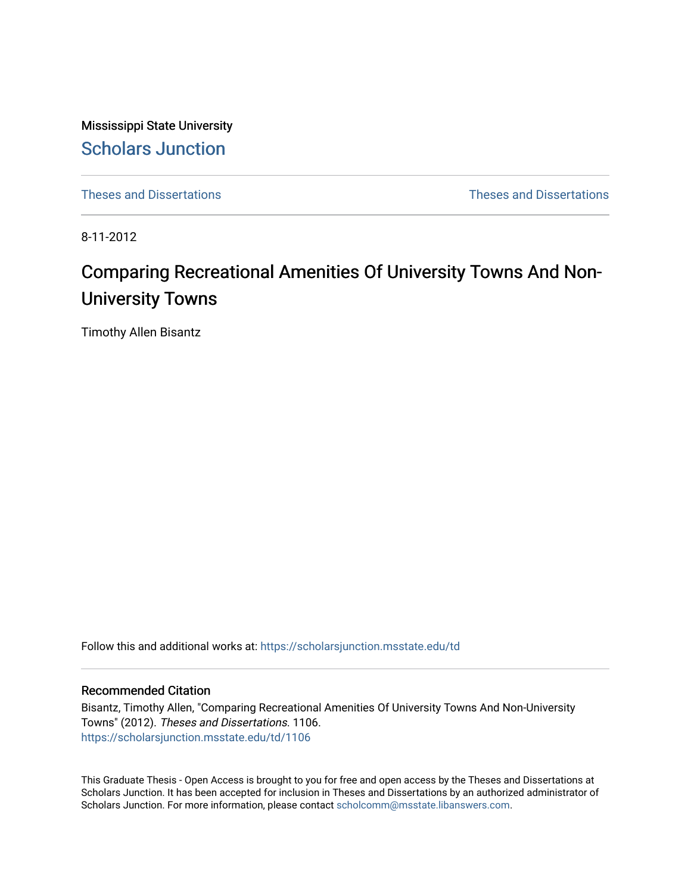Mississippi State University [Scholars Junction](https://scholarsjunction.msstate.edu/) 

[Theses and Dissertations](https://scholarsjunction.msstate.edu/td) [Theses and Dissertations](https://scholarsjunction.msstate.edu/theses-dissertations) 

8-11-2012

# Comparing Recreational Amenities Of University Towns And Non-University Towns

Timothy Allen Bisantz

Follow this and additional works at: [https://scholarsjunction.msstate.edu/td](https://scholarsjunction.msstate.edu/td?utm_source=scholarsjunction.msstate.edu%2Ftd%2F1106&utm_medium=PDF&utm_campaign=PDFCoverPages) 

#### Recommended Citation

Bisantz, Timothy Allen, "Comparing Recreational Amenities Of University Towns And Non-University Towns" (2012). Theses and Dissertations. 1106. [https://scholarsjunction.msstate.edu/td/1106](https://scholarsjunction.msstate.edu/td/1106?utm_source=scholarsjunction.msstate.edu%2Ftd%2F1106&utm_medium=PDF&utm_campaign=PDFCoverPages) 

This Graduate Thesis - Open Access is brought to you for free and open access by the Theses and Dissertations at Scholars Junction. It has been accepted for inclusion in Theses and Dissertations by an authorized administrator of Scholars Junction. For more information, please contact [scholcomm@msstate.libanswers.com.](mailto:scholcomm@msstate.libanswers.com)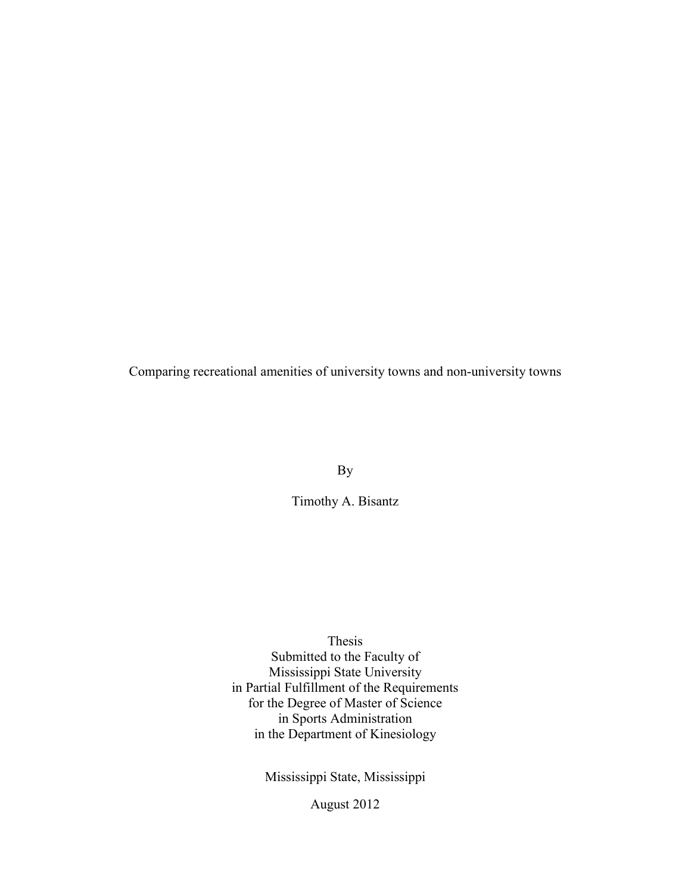Comparing recreational amenities of university towns and non-university towns

By

Timothy A. Bisantz

Thesis

 Submitted to the Faculty of in Partial Fulfillment of the Requirements for the Degree of Master of Science in the Department of Kinesiology Mississippi State University in Sports Administration

Mississippi State, Mississippi

August 2012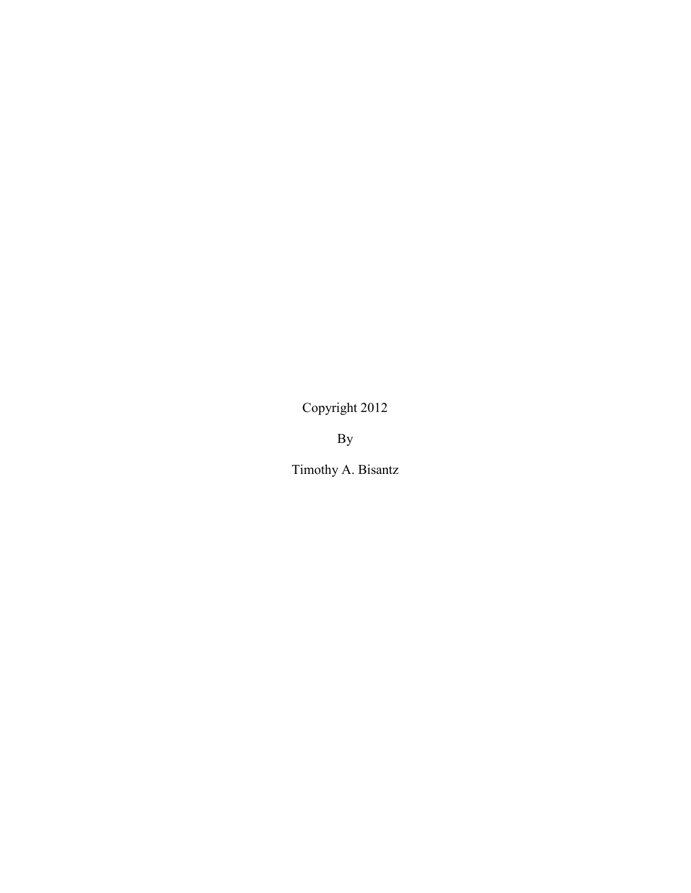Copyright 2012

By

Timothy A. Bisantz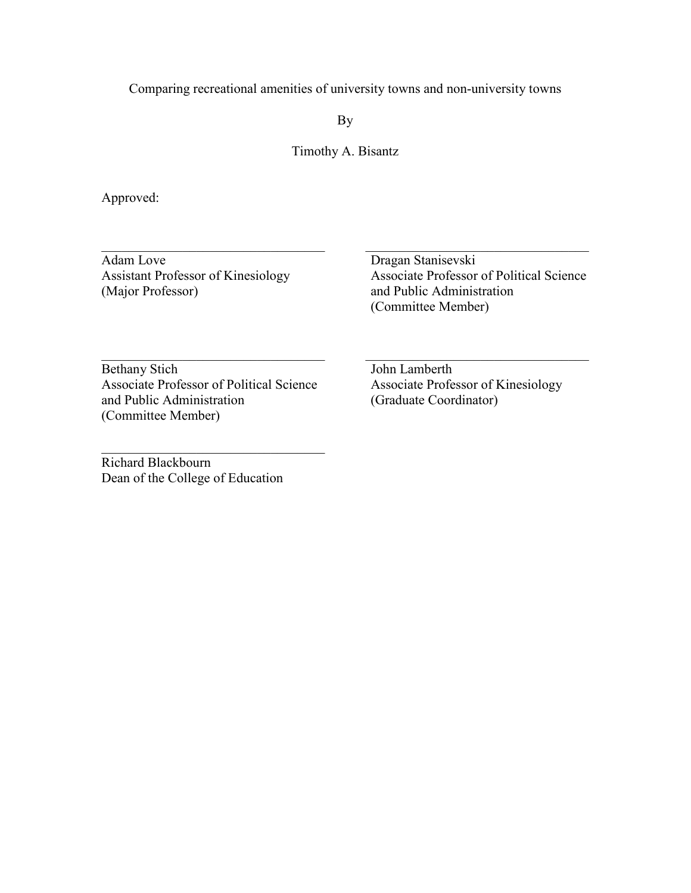Comparing recreational amenities of university towns and non-university towns

By

Timothy A. Bisantz

Approved:

 Adam Love Assistant Professor of Kinesiology (Major Professor)

 $\mathcal{L}_\text{max}$  , and the set of the set of the set of the set of the set of the set of the set of the set of the set of the set of the set of the set of the set of the set of the set of the set of the set of the set of the

Dragan Stanisevski Associate Professor of Political Science and Public Administration (Committee Member)

 $\mathcal{L}_\text{max}$  , and the set of the set of the set of the set of the set of the set of the set of the set of the set of the set of the set of the set of the set of the set of the set of the set of the set of the set of the

 $\mathcal{L}_\text{max}$  , and the set of the set of the set of the set of the set of the set of the set of the set of the set of the set of the set of the set of the set of the set of the set of the set of the set of the set of the

 and Public Administration Bethany Stich Associate Professor of Political Science (Committee Member)

 $\mathcal{L}_\text{max}$  , and the set of the set of the set of the set of the set of the set of the set of the set of the set of the set of the set of the set of the set of the set of the set of the set of the set of the set of the

John Lamberth Associate Professor of Kinesiology (Graduate Coordinator)

 $\mathcal{L}_\text{max}$  , and the set of the set of the set of the set of the set of the set of the set of the set of the set of the set of the set of the set of the set of the set of the set of the set of the set of the set of the Richard Blackbourn Dean of the College of Education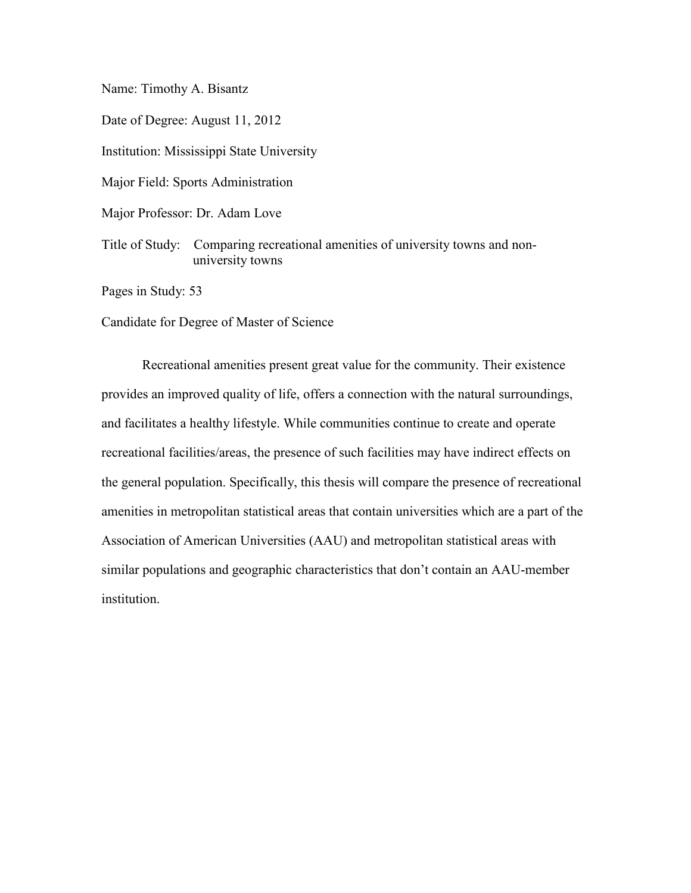Name: Timothy A. Bisantz

Date of Degree: August 11, 2012

Institution: Mississippi State University

Major Field: Sports Administration

Major Professor: Dr. Adam Love

 Title of Study: Comparing recreational amenities of university towns and nonuniversity towns

Pages in Study: 53

Candidate for Degree of Master of Science

 Recreational amenities present great value for the community. Their existence and facilitates a healthy lifestyle. While communities continue to create and operate recreational facilities/areas, the presence of such facilities may have indirect effects on the general population. Specifically, this thesis will compare the presence of recreational amenities in metropolitan statistical areas that contain universities which are a part of the Association of American Universities (AAU) and metropolitan statistical areas with provides an improved quality of life, offers a connection with the natural surroundings, similar populations and geographic characteristics that don't contain an AAU-member institution.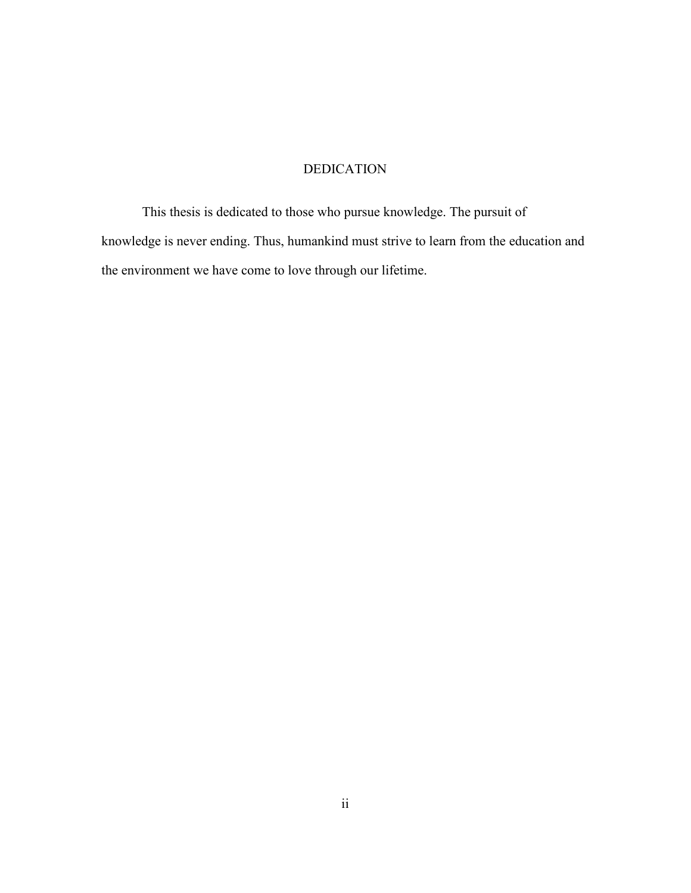### DEDICATION

<span id="page-5-0"></span>This thesis is dedicated to those who pursue knowledge. The pursuit of knowledge is never ending. Thus, humankind must strive to learn from the education and the environment we have come to love through our lifetime.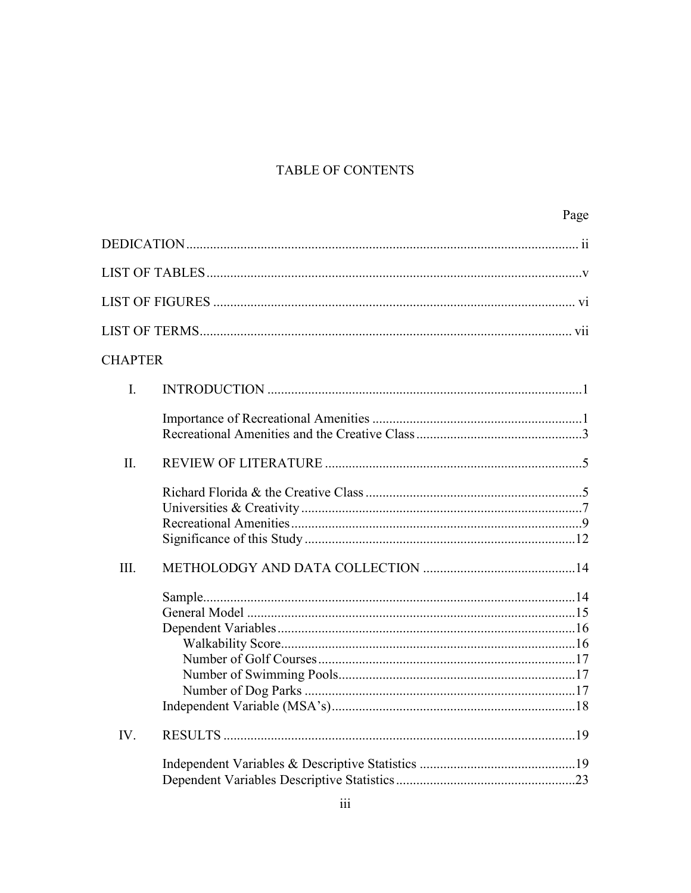# TABLE OF CONTENTS

|                | Page |
|----------------|------|
|                |      |
|                |      |
|                |      |
|                |      |
| <b>CHAPTER</b> |      |
| $\mathbf{I}$ . |      |
|                |      |
| $\Pi$ .        |      |
|                |      |
| III.           |      |
|                |      |
| IV.            |      |
|                |      |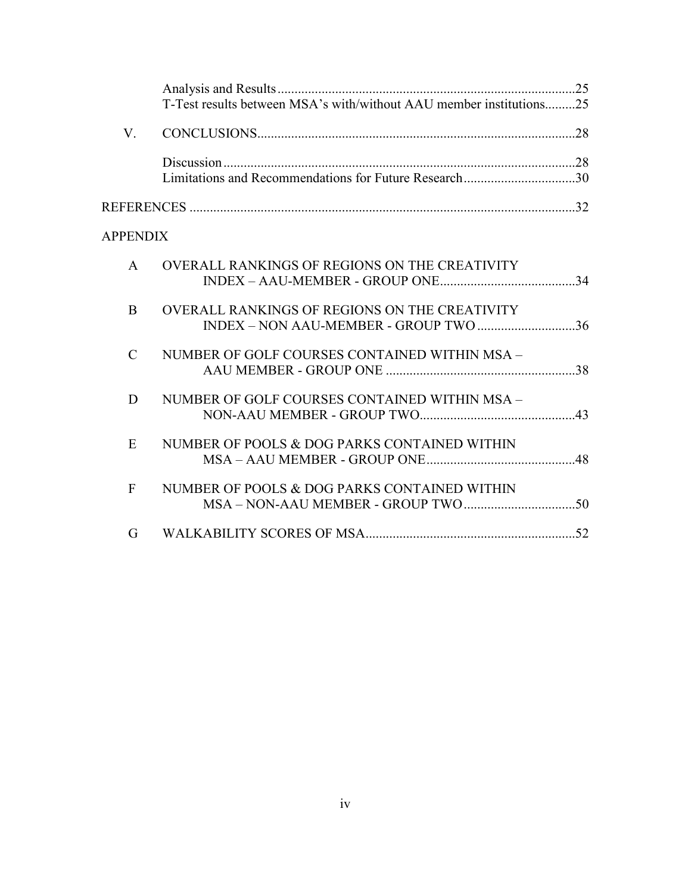|                 | T-Test results between MSA's with/without AAU member institutions25                    |  |
|-----------------|----------------------------------------------------------------------------------------|--|
| V.              |                                                                                        |  |
|                 | Limitations and Recommendations for Future Research30                                  |  |
|                 |                                                                                        |  |
| <b>APPENDIX</b> |                                                                                        |  |
| $\mathsf{A}$    | OVERALL RANKINGS OF REGIONS ON THE CREATIVITY                                          |  |
| B               | OVERALL RANKINGS OF REGIONS ON THE CREATIVITY<br>INDEX - NON AAU-MEMBER - GROUP TWO 36 |  |
| $\mathcal{C}$   | NUMBER OF GOLF COURSES CONTAINED WITHIN MSA -                                          |  |
| D               | NUMBER OF GOLF COURSES CONTAINED WITHIN MSA -                                          |  |
| E               | NUMBER OF POOLS & DOG PARKS CONTAINED WITHIN                                           |  |
| $\mathbf{F}$    | NUMBER OF POOLS & DOG PARKS CONTAINED WITHIN                                           |  |
| G               |                                                                                        |  |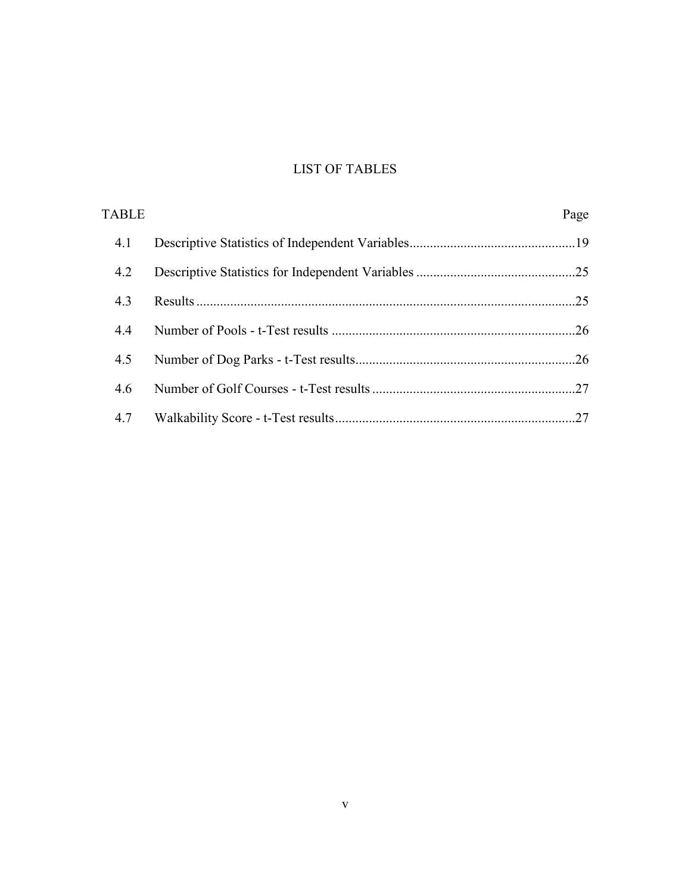# LIST OF TABLES

<span id="page-8-0"></span>

| <b>TABLE</b> | Page |
|--------------|------|
| 4.1          |      |
| 4.2          |      |
| 4.3          |      |
| 4.4          |      |
| 4.5          |      |
| 4.6          |      |
| 4.7          |      |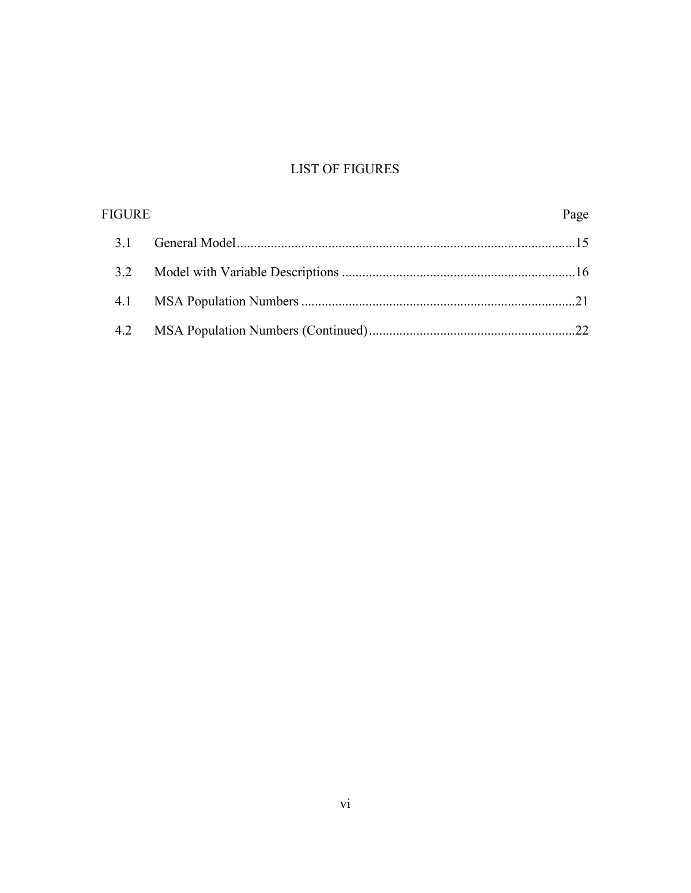# **LIST OF FIGURES**

<span id="page-9-0"></span>

| <b>FIGURE</b> | Page |
|---------------|------|
| 31            |      |
| 32            |      |
|               |      |
| 4.2           |      |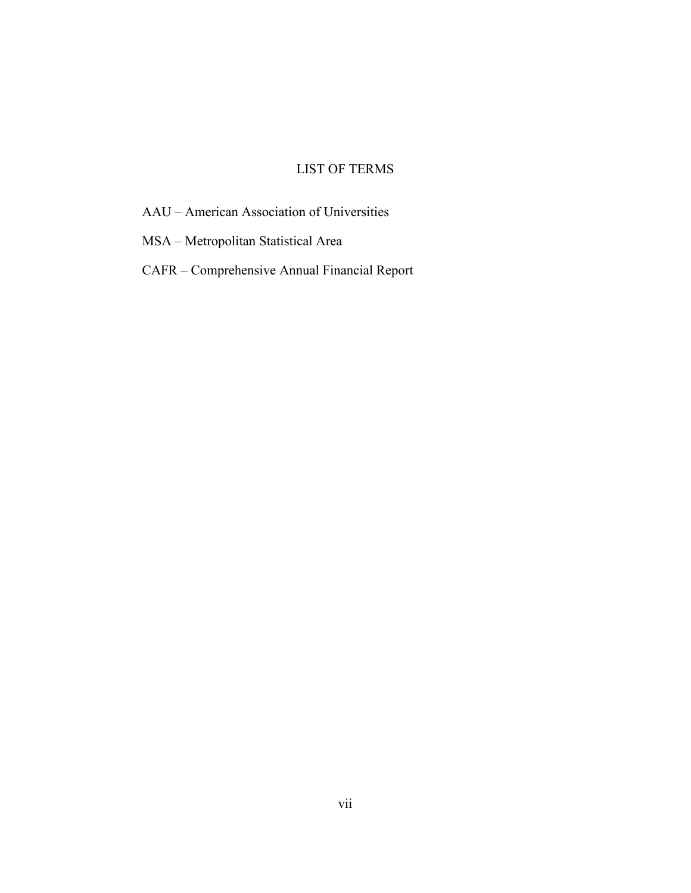### LIST OF TERMS

<span id="page-10-0"></span>AAU – American Association of Universities

MSA – Metropolitan Statistical Area

CAFR – Comprehensive Annual Financial Report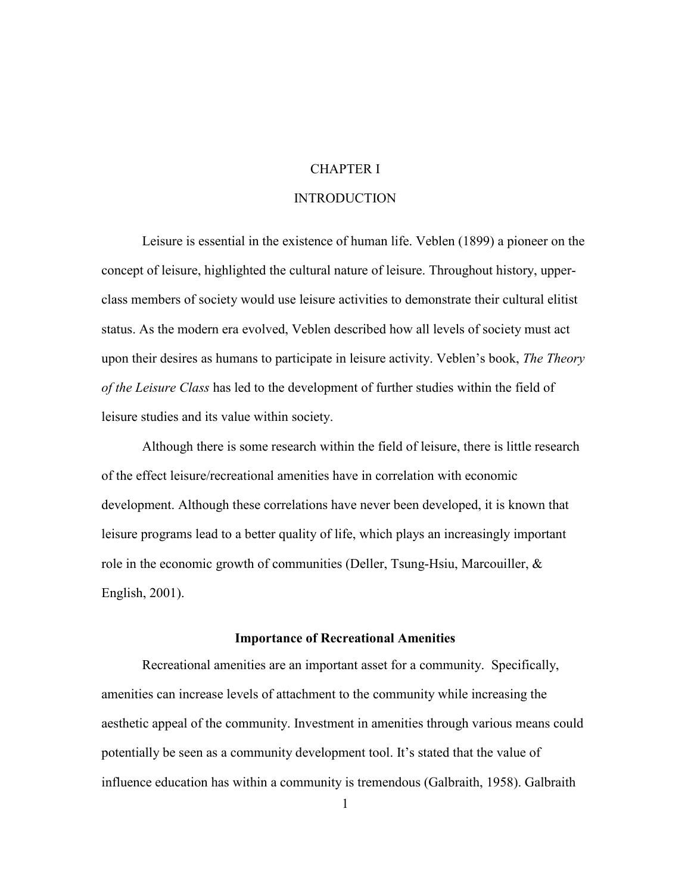### CHAPTER I

### **INTRODUCTION**

<span id="page-11-1"></span><span id="page-11-0"></span> Leisure is essential in the existence of human life. Veblen (1899) a pioneer on the class members of society would use leisure activities to demonstrate their cultural elitist *of the Leisure Class* has led to the development of further studies within the field of concept of leisure, highlighted the cultural nature of leisure. Throughout history, upperstatus. As the modern era evolved, Veblen described how all levels of society must act upon their desires as humans to participate in leisure activity. Veblen's book, *The Theory*  leisure studies and its value within society.

 Although there is some research within the field of leisure, there is little research of the effect leisure/recreational amenities have in correlation with economic development. Although these correlations have never been developed, it is known that leisure programs lead to a better quality of life, which plays an increasingly important role in the economic growth of communities (Deller, Tsung-Hsiu, Marcouiller, & English, 2001).

#### **Importance of Recreational Amenities**

<span id="page-11-2"></span> Recreational amenities are an important asset for a community. Specifically, amenities can increase levels of attachment to the community while increasing the aesthetic appeal of the community. Investment in amenities through various means could potentially be seen as a community development tool. It's stated that the value of influence education has within a community is tremendous (Galbraith, 1958). Galbraith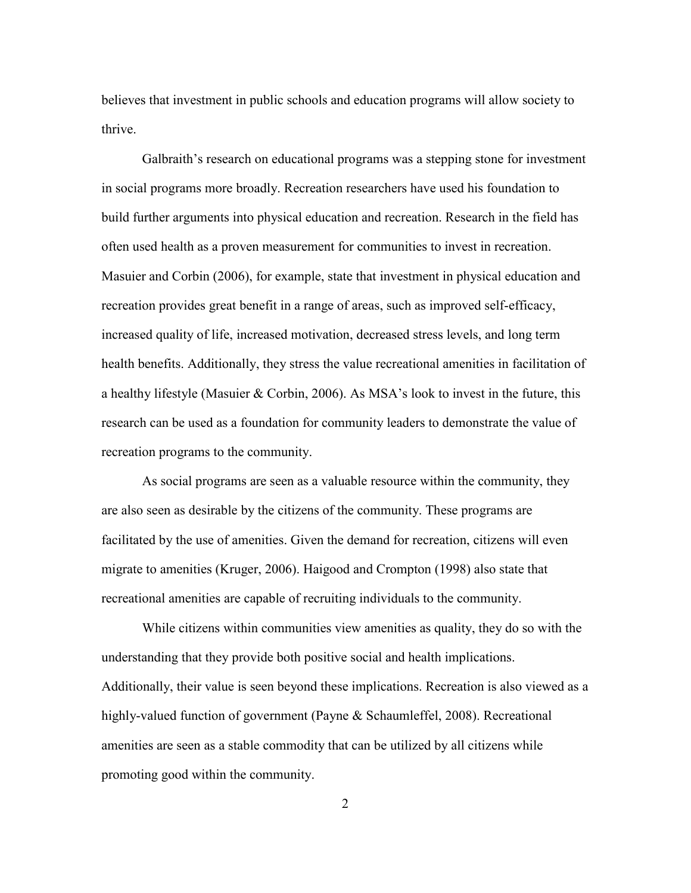believes that investment in public schools and education programs will allow society to thrive.

 recreation provides great benefit in a range of areas, such as improved self-efficacy, increased quality of life, increased motivation, decreased stress levels, and long term health benefits. Additionally, they stress the value recreational amenities in facilitation of Galbraith's research on educational programs was a stepping stone for investment in social programs more broadly. Recreation researchers have used his foundation to build further arguments into physical education and recreation. Research in the field has often used health as a proven measurement for communities to invest in recreation. Masuier and Corbin (2006), for example, state that investment in physical education and a healthy lifestyle (Masuier & Corbin, 2006). As MSA's look to invest in the future, this research can be used as a foundation for community leaders to demonstrate the value of recreation programs to the community.

 As social programs are seen as a valuable resource within the community, they are also seen as desirable by the citizens of the community. These programs are facilitated by the use of amenities. Given the demand for recreation, citizens will even migrate to amenities (Kruger, 2006). Haigood and Crompton (1998) also state that recreational amenities are capable of recruiting individuals to the community.

 While citizens within communities view amenities as quality, they do so with the amenities are seen as a stable commodity that can be utilized by all citizens while understanding that they provide both positive social and health implications. Additionally, their value is seen beyond these implications. Recreation is also viewed as a highly-valued function of government (Payne & Schaumleffel, 2008). Recreational promoting good within the community.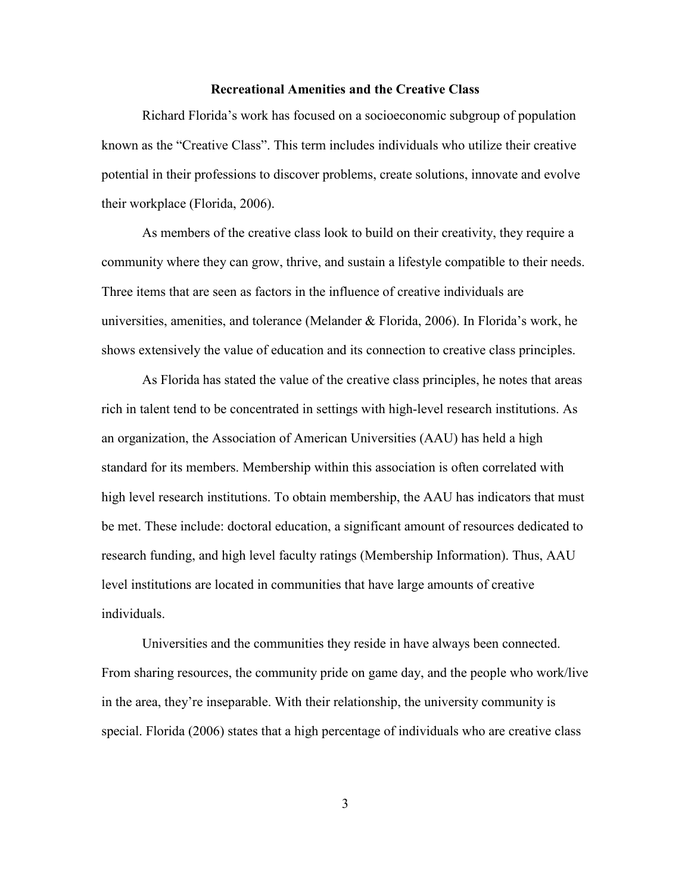#### **Recreational Amenities and the Creative Class**

<span id="page-13-0"></span>Richard Florida's work has focused on a socioeconomic subgroup of population known as the "Creative Class". This term includes individuals who utilize their creative potential in their professions to discover problems, create solutions, innovate and evolve their workplace (Florida, 2006).

 Three items that are seen as factors in the influence of creative individuals are universities, amenities, and tolerance (Melander & Florida, 2006). In Florida's work, he As members of the creative class look to build on their creativity, they require a community where they can grow, thrive, and sustain a lifestyle compatible to their needs. shows extensively the value of education and its connection to creative class principles.

 As Florida has stated the value of the creative class principles, he notes that areas rich in talent tend to be concentrated in settings with high-level research institutions. As standard for its members. Membership within this association is often correlated with research funding, and high level faculty ratings (Membership Information). Thus, AAU level institutions are located in communities that have large amounts of creative an organization, the Association of American Universities (AAU) has held a high high level research institutions. To obtain membership, the AAU has indicators that must be met. These include: doctoral education, a significant amount of resources dedicated to individuals.

 special. Florida (2006) states that a high percentage of individuals who are creative class Universities and the communities they reside in have always been connected. From sharing resources, the community pride on game day, and the people who work/live in the area, they're inseparable. With their relationship, the university community is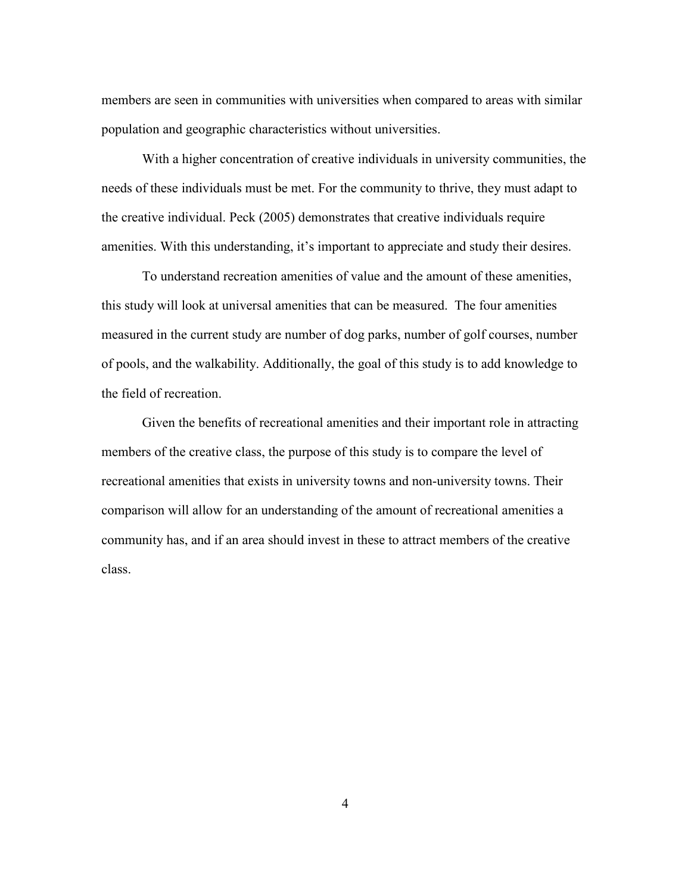members are seen in communities with universities when compared to areas with similar population and geographic characteristics without universities.

 needs of these individuals must be met. For the community to thrive, they must adapt to With a higher concentration of creative individuals in university communities, the the creative individual. Peck (2005) demonstrates that creative individuals require amenities. With this understanding, it's important to appreciate and study their desires.

 To understand recreation amenities of value and the amount of these amenities, this study will look at universal amenities that can be measured. The four amenities measured in the current study are number of dog parks, number of golf courses, number of pools, and the walkability. Additionally, the goal of this study is to add knowledge to the field of recreation.

 Given the benefits of recreational amenities and their important role in attracting members of the creative class, the purpose of this study is to compare the level of recreational amenities that exists in university towns and non-university towns. Their comparison will allow for an understanding of the amount of recreational amenities a community has, and if an area should invest in these to attract members of the creative class.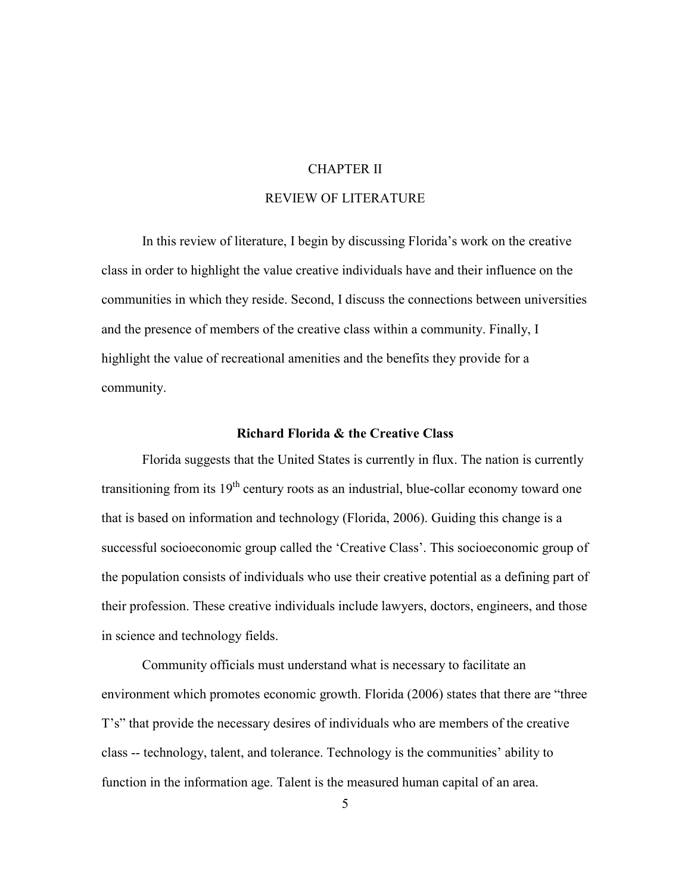### CHAPTER II

#### REVIEW OF LITERATURE

<span id="page-15-0"></span> In this review of literature, I begin by discussing Florida's work on the creative and the presence of members of the creative class within a community. Finally, I class in order to highlight the value creative individuals have and their influence on the communities in which they reside. Second, I discuss the connections between universities highlight the value of recreational amenities and the benefits they provide for a community.

#### **Richard Florida & the Creative Class**

<span id="page-15-1"></span>transitioning from its 19<sup>th</sup> century roots as an industrial, blue-collar economy toward one the population consists of individuals who use their creative potential as a defining part of in science and technology fields. Florida suggests that the United States is currently in flux. The nation is currently that is based on information and technology (Florida, 2006). Guiding this change is a successful socioeconomic group called the 'Creative Class'. This socioeconomic group of their profession. These creative individuals include lawyers, doctors, engineers, and those

 Community officials must understand what is necessary to facilitate an environment which promotes economic growth. Florida (2006) states that there are "three T's" that provide the necessary desires of individuals who are members of the creative class -- technology, talent, and tolerance. Technology is the communities' ability to function in the information age. Talent is the measured human capital of an area.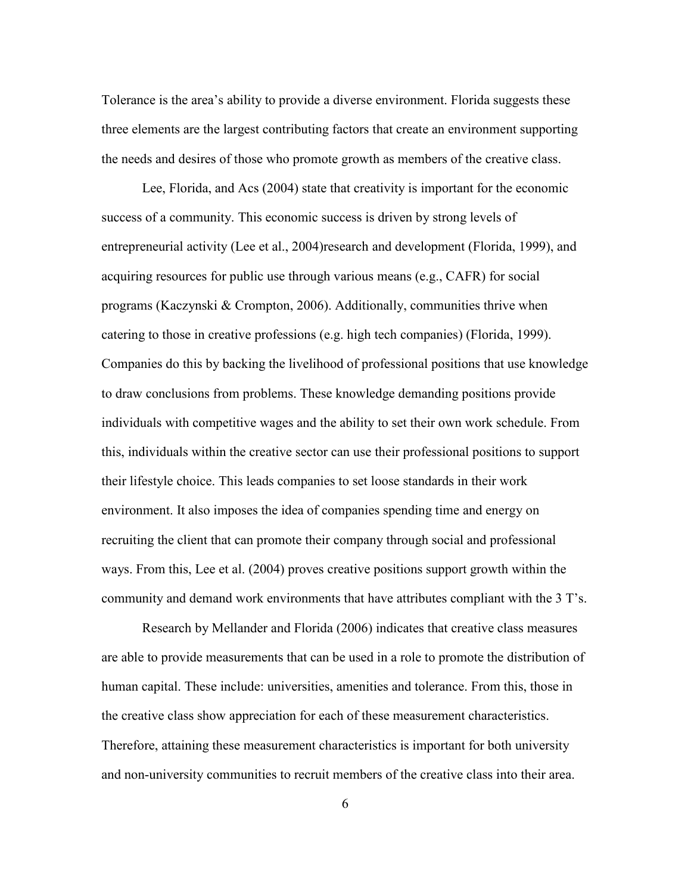Tolerance is the area's ability to provide a diverse environment. Florida suggests these three elements are the largest contributing factors that create an environment supporting the needs and desires of those who promote growth as members of the creative class.

 entrepreneurial activity (Lee et al., 2004)research and development (Florida, 1999), and acquiring resources for public use through various means (e.g., CAFR) for social programs (Kaczynski & Crompton, 2006). Additionally, communities thrive when catering to those in creative professions (e.g. high tech companies) (Florida, 1999). Lee, Florida, and Acs (2004) state that creativity is important for the economic success of a community. This economic success is driven by strong levels of Companies do this by backing the livelihood of professional positions that use knowledge to draw conclusions from problems. These knowledge demanding positions provide individuals with competitive wages and the ability to set their own work schedule. From this, individuals within the creative sector can use their professional positions to support their lifestyle choice. This leads companies to set loose standards in their work environment. It also imposes the idea of companies spending time and energy on recruiting the client that can promote their company through social and professional ways. From this, Lee et al. (2004) proves creative positions support growth within the community and demand work environments that have attributes compliant with the 3 T's.

 Research by Mellander and Florida (2006) indicates that creative class measures are able to provide measurements that can be used in a role to promote the distribution of the creative class show appreciation for each of these measurement characteristics. Therefore, attaining these measurement characteristics is important for both university and non-university communities to recruit members of the creative class into their area. human capital. These include: universities, amenities and tolerance. From this, those in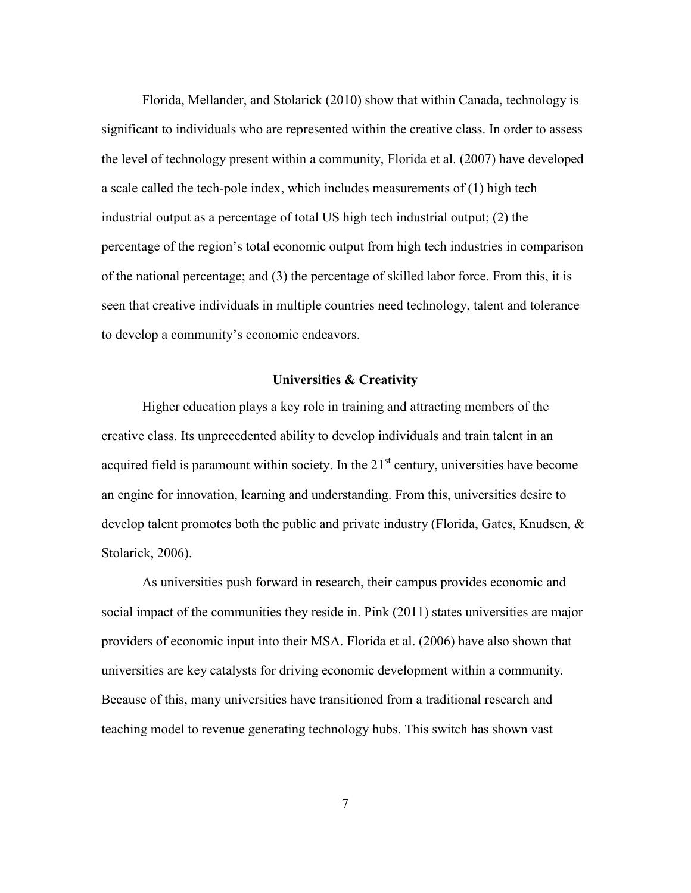seen that creative individuals in multiple countries need technology, talent and tolerance Florida, Mellander, and Stolarick (2010) show that within Canada, technology is significant to individuals who are represented within the creative class. In order to assess the level of technology present within a community, Florida et al. (2007) have developed a scale called the tech-pole index, which includes measurements of (1) high tech industrial output as a percentage of total US high tech industrial output; (2) the percentage of the region's total economic output from high tech industries in comparison of the national percentage; and (3) the percentage of skilled labor force. From this, it is to develop a community's economic endeavors.

#### **Universities & Creativity**

<span id="page-17-0"></span> Higher education plays a key role in training and attracting members of the creative class. Its unprecedented ability to develop individuals and train talent in an acquired field is paramount within society. In the  $21<sup>st</sup>$  century, universities have become an engine for innovation, learning and understanding. From this, universities desire to develop talent promotes both the public and private industry (Florida, Gates, Knudsen, & Stolarick, 2006).

 social impact of the communities they reside in. Pink (2011) states universities are major Because of this, many universities have transitioned from a traditional research and As universities push forward in research, their campus provides economic and providers of economic input into their MSA. Florida et al. (2006) have also shown that universities are key catalysts for driving economic development within a community. teaching model to revenue generating technology hubs. This switch has shown vast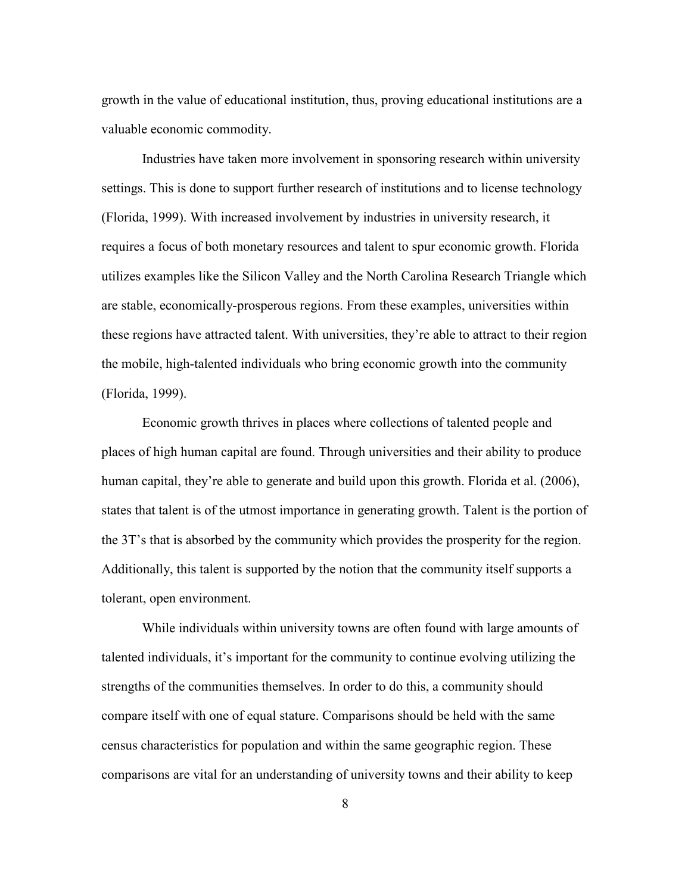growth in the value of educational institution, thus, proving educational institutions are a valuable economic commodity.

 Industries have taken more involvement in sponsoring research within university utilizes examples like the Silicon Valley and the North Carolina Research Triangle which are stable, economically-prosperous regions. From these examples, universities within these regions have attracted talent. With universities, they're able to attract to their region settings. This is done to support further research of institutions and to license technology (Florida, 1999). With increased involvement by industries in university research, it requires a focus of both monetary resources and talent to spur economic growth. Florida the mobile, high-talented individuals who bring economic growth into the community (Florida, 1999).

 Economic growth thrives in places where collections of talented people and places of high human capital are found. Through universities and their ability to produce human capital, they're able to generate and build upon this growth. Florida et al. (2006), states that talent is of the utmost importance in generating growth. Talent is the portion of the 3T's that is absorbed by the community which provides the prosperity for the region. Additionally, this talent is supported by the notion that the community itself supports a tolerant, open environment.

 talented individuals, it's important for the community to continue evolving utilizing the strengths of the communities themselves. In order to do this, a community should While individuals within university towns are often found with large amounts of compare itself with one of equal stature. Comparisons should be held with the same census characteristics for population and within the same geographic region. These comparisons are vital for an understanding of university towns and their ability to keep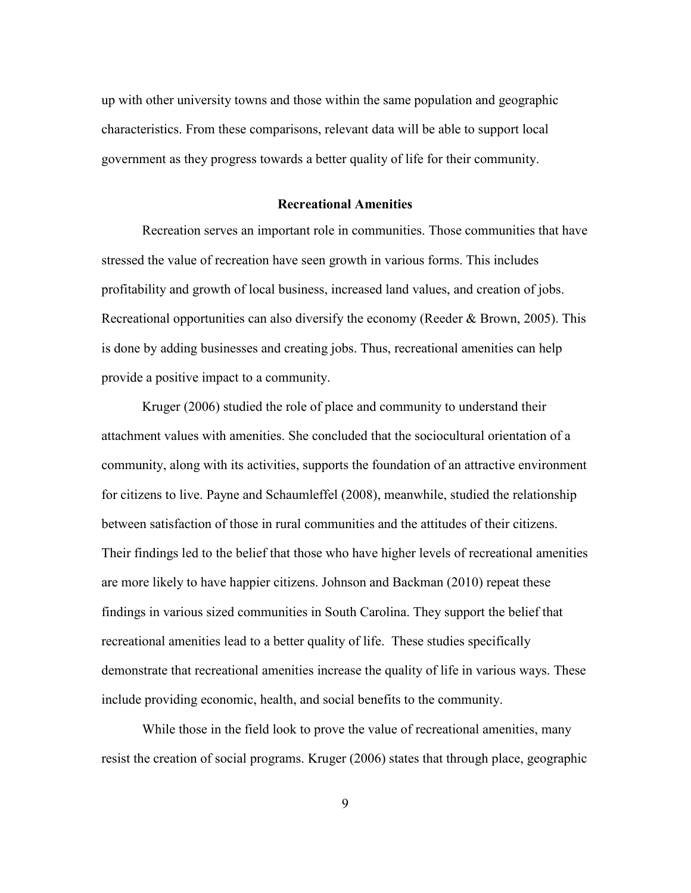up with other university towns and those within the same population and geographic characteristics. From these comparisons, relevant data will be able to support local government as they progress towards a better quality of life for their community.

#### **Recreational Amenities**

<span id="page-19-0"></span>Recreation serves an important role in communities. Those communities that have stressed the value of recreation have seen growth in various forms. This includes profitability and growth of local business, increased land values, and creation of jobs. Recreational opportunities can also diversify the economy (Reeder & Brown, 2005). This is done by adding businesses and creating jobs. Thus, recreational amenities can help provide a positive impact to a community.

 attachment values with amenities. She concluded that the sociocultural orientation of a community, along with its activities, supports the foundation of an attractive environment for citizens to live. Payne and Schaumleffel (2008), meanwhile, studied the relationship between satisfaction of those in rural communities and the attitudes of their citizens. Their findings led to the belief that those who have higher levels of recreational amenities are more likely to have happier citizens. Johnson and Backman (2010) repeat these findings in various sized communities in South Carolina. They support the belief that recreational amenities lead to a better quality of life. These studies specifically demonstrate that recreational amenities increase the quality of life in various ways. These Kruger (2006) studied the role of place and community to understand their include providing economic, health, and social benefits to the community.

 While those in the field look to prove the value of recreational amenities, many resist the creation of social programs. Kruger (2006) states that through place, geographic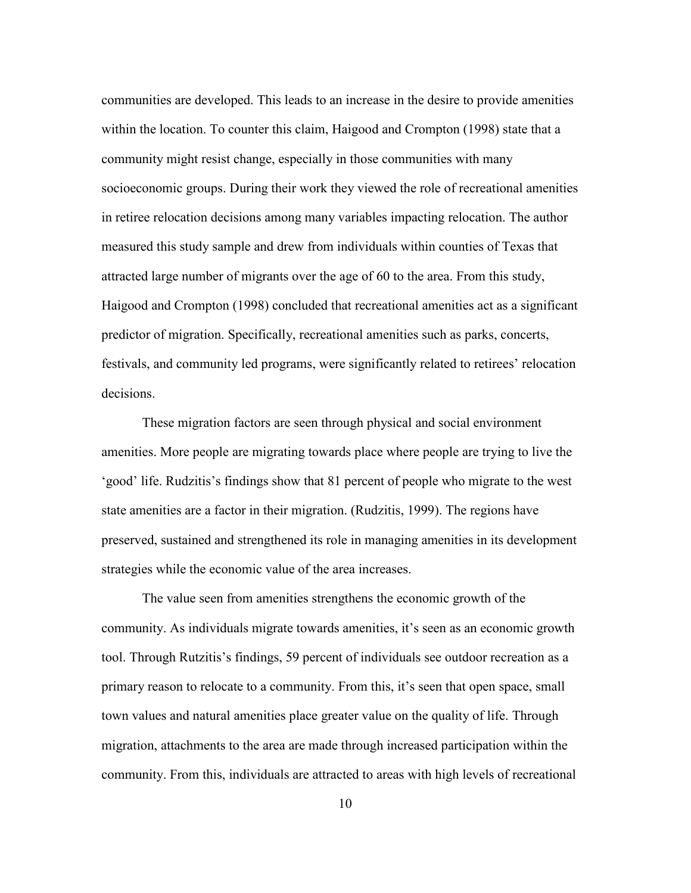community might resist change, especially in those communities with many in retiree relocation decisions among many variables impacting relocation. The author Haigood and Crompton (1998) concluded that recreational amenities act as a significant communities are developed. This leads to an increase in the desire to provide amenities within the location. To counter this claim, Haigood and Crompton (1998) state that a socioeconomic groups. During their work they viewed the role of recreational amenities measured this study sample and drew from individuals within counties of Texas that attracted large number of migrants over the age of 60 to the area. From this study, predictor of migration. Specifically, recreational amenities such as parks, concerts, festivals, and community led programs, were significantly related to retirees' relocation decisions.

 amenities. More people are migrating towards place where people are trying to live the state amenities are a factor in their migration. (Rudzitis, 1999). The regions have These migration factors are seen through physical and social environment 'good' life. Rudzitis's findings show that 81 percent of people who migrate to the west preserved, sustained and strengthened its role in managing amenities in its development strategies while the economic value of the area increases.

 primary reason to relocate to a community. From this, it's seen that open space, small migration, attachments to the area are made through increased participation within the community. From this, individuals are attracted to areas with high levels of recreational The value seen from amenities strengthens the economic growth of the community. As individuals migrate towards amenities, it's seen as an economic growth tool. Through Rutzitis's findings, 59 percent of individuals see outdoor recreation as a town values and natural amenities place greater value on the quality of life. Through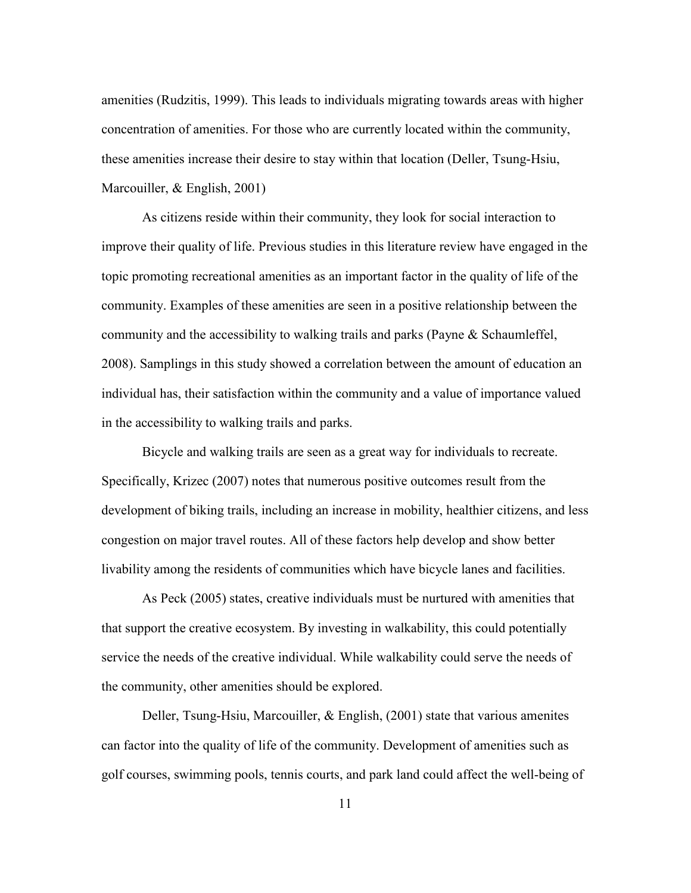amenities (Rudzitis, 1999). This leads to individuals migrating towards areas with higher these amenities increase their desire to stay within that location (Deller, Tsung-Hsiu, concentration of amenities. For those who are currently located within the community, Marcouiller, & English, 2001)

 As citizens reside within their community, they look for social interaction to topic promoting recreational amenities as an important factor in the quality of life of the community. Examples of these amenities are seen in a positive relationship between the community and the accessibility to walking trails and parks (Payne & Schaumleffel, in the accessibility to walking trails and parks. improve their quality of life. Previous studies in this literature review have engaged in the 2008). Samplings in this study showed a correlation between the amount of education an individual has, their satisfaction within the community and a value of importance valued

 Bicycle and walking trails are seen as a great way for individuals to recreate. development of biking trails, including an increase in mobility, healthier citizens, and less livability among the residents of communities which have bicycle lanes and facilities. Specifically, Krizec (2007) notes that numerous positive outcomes result from the congestion on major travel routes. All of these factors help develop and show better

 As Peck (2005) states, creative individuals must be nurtured with amenities that that support the creative ecosystem. By investing in walkability, this could potentially service the needs of the creative individual. While walkability could serve the needs of the community, other amenities should be explored.

Deller, Tsung-Hsiu, Marcouiller, & English, (2001) state that various amenites can factor into the quality of life of the community. Development of amenities such as golf courses, swimming pools, tennis courts, and park land could affect the well-being of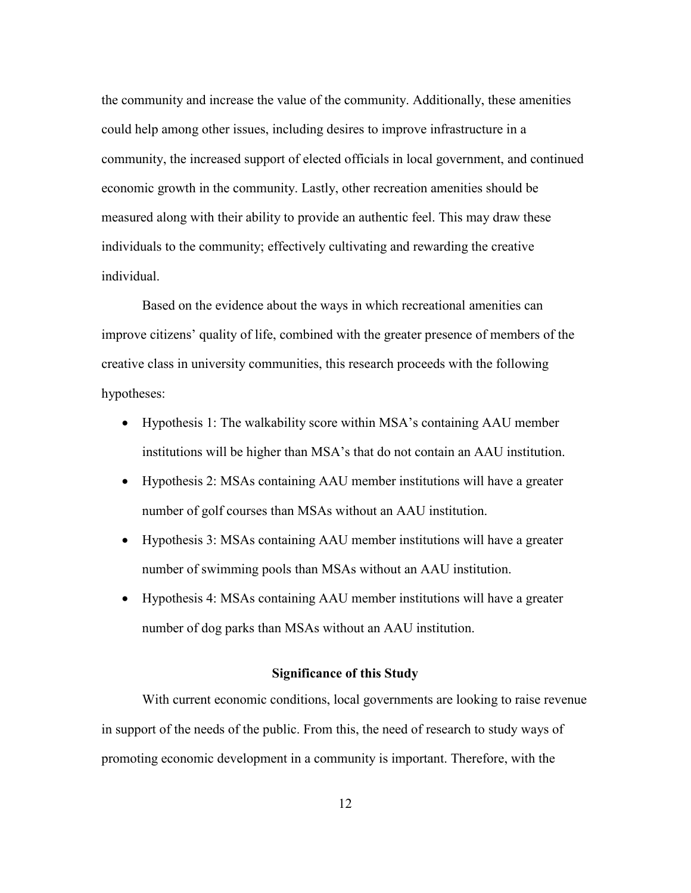could help among other issues, including desires to improve infrastructure in a individuals to the community; effectively cultivating and rewarding the creative the community and increase the value of the community. Additionally, these amenities community, the increased support of elected officials in local government, and continued economic growth in the community. Lastly, other recreation amenities should be measured along with their ability to provide an authentic feel. This may draw these individual.

 Based on the evidence about the ways in which recreational amenities can creative class in university communities, this research proceeds with the following improve citizens' quality of life, combined with the greater presence of members of the hypotheses:

- • Hypothesis 1: The walkability score within MSA's containing AAU member institutions will be higher than MSA's that do not contain an AAU institution.
- • Hypothesis 2: MSAs containing AAU member institutions will have a greater number of golf courses than MSAs without an AAU institution.
- • Hypothesis 3: MSAs containing AAU member institutions will have a greater number of swimming pools than MSAs without an AAU institution.
- <span id="page-22-0"></span> • Hypothesis 4: MSAs containing AAU member institutions will have a greater number of dog parks than MSAs without an AAU institution.

#### **Significance of this Study**

 With current economic conditions, local governments are looking to raise revenue in support of the needs of the public. From this, the need of research to study ways of promoting economic development in a community is important. Therefore, with the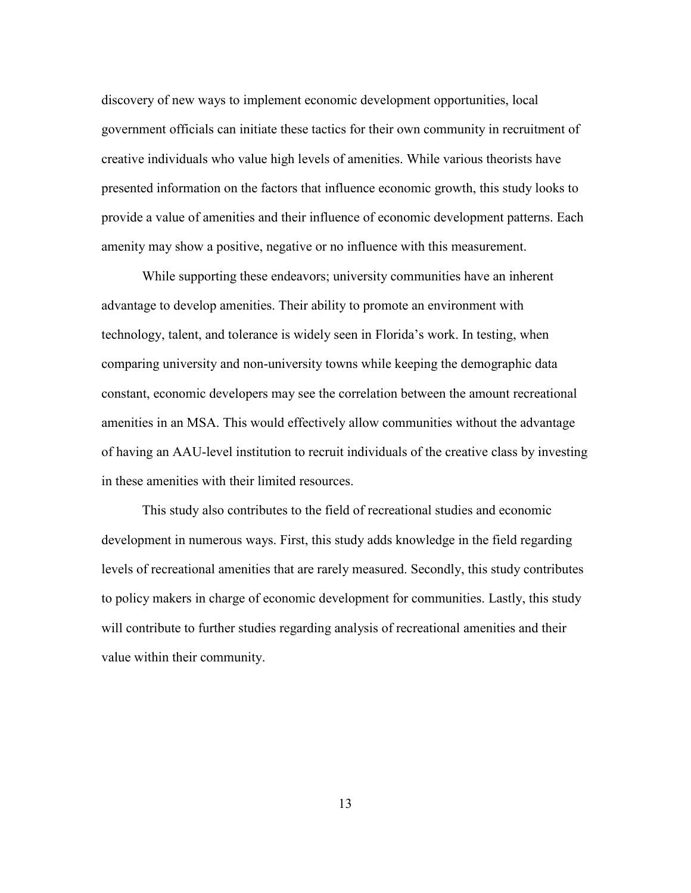government officials can initiate these tactics for their own community in recruitment of discovery of new ways to implement economic development opportunities, local creative individuals who value high levels of amenities. While various theorists have presented information on the factors that influence economic growth, this study looks to provide a value of amenities and their influence of economic development patterns. Each amenity may show a positive, negative or no influence with this measurement.

 constant, economic developers may see the correlation between the amount recreational of having an AAU-level institution to recruit individuals of the creative class by investing in these amenities with their limited resources. While supporting these endeavors; university communities have an inherent advantage to develop amenities. Their ability to promote an environment with technology, talent, and tolerance is widely seen in Florida's work. In testing, when comparing university and non-university towns while keeping the demographic data amenities in an MSA. This would effectively allow communities without the advantage

 levels of recreational amenities that are rarely measured. Secondly, this study contributes will contribute to further studies regarding analysis of recreational amenities and their This study also contributes to the field of recreational studies and economic development in numerous ways. First, this study adds knowledge in the field regarding to policy makers in charge of economic development for communities. Lastly, this study value within their community.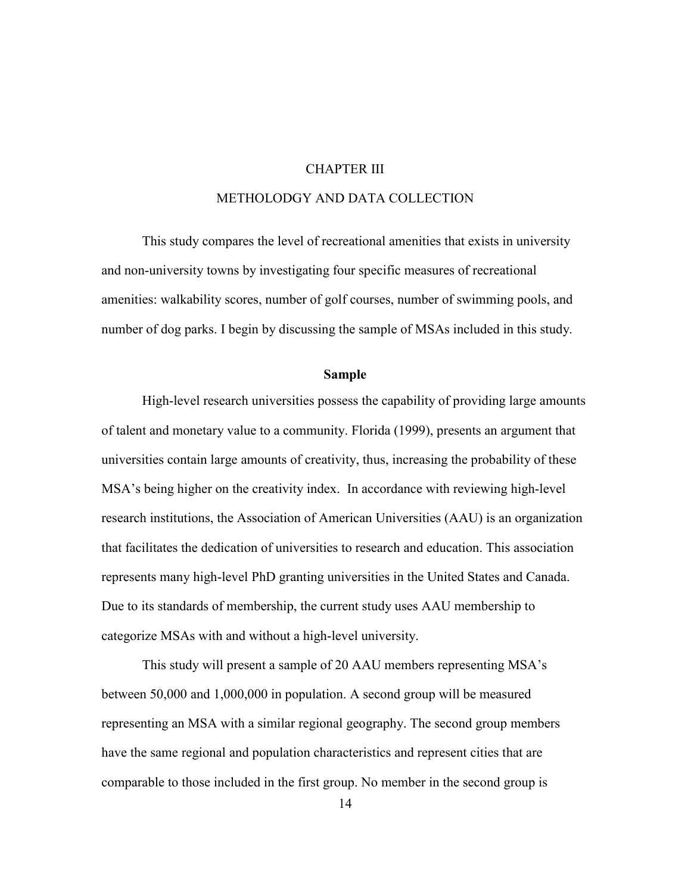### CHAPTER III

### METHOLODGY AND DATA COLLECTION

<span id="page-24-0"></span> This study compares the level of recreational amenities that exists in university and non-university towns by investigating four specific measures of recreational amenities: walkability scores, number of golf courses, number of swimming pools, and number of dog parks. I begin by discussing the sample of MSAs included in this study.

#### **Sample**

<span id="page-24-1"></span> High-level research universities possess the capability of providing large amounts research institutions, the Association of American Universities (AAU) is an organization represents many high-level PhD granting universities in the United States and Canada. categorize MSAs with and without a high-level university. of talent and monetary value to a community. Florida (1999), presents an argument that universities contain large amounts of creativity, thus, increasing the probability of these MSA's being higher on the creativity index. In accordance with reviewing high-level that facilitates the dedication of universities to research and education. This association Due to its standards of membership, the current study uses AAU membership to

 This study will present a sample of 20 AAU members representing MSA's representing an MSA with a similar regional geography. The second group members have the same regional and population characteristics and represent cities that are between 50,000 and 1,000,000 in population. A second group will be measured comparable to those included in the first group. No member in the second group is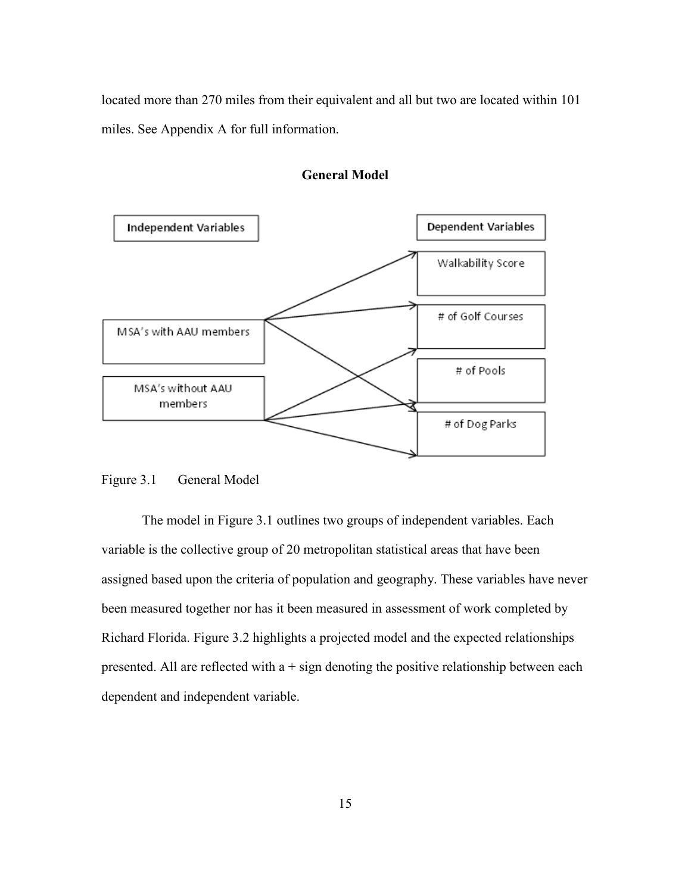<span id="page-25-0"></span>located more than 270 miles from their equivalent and all but two are located within 101 miles. See Appendix A for full information.





### <span id="page-25-1"></span>Figure 3.1 General Model

 variable is the collective group of 20 metropolitan statistical areas that have been been measured together nor has it been measured in assessment of work completed by The model in Figure 3.1 outlines two groups of independent variables. Each assigned based upon the criteria of population and geography. These variables have never Richard Florida. Figure 3.2 highlights a projected model and the expected relationships presented. All are reflected with  $a + sign$  denoting the positive relationship between each dependent and independent variable.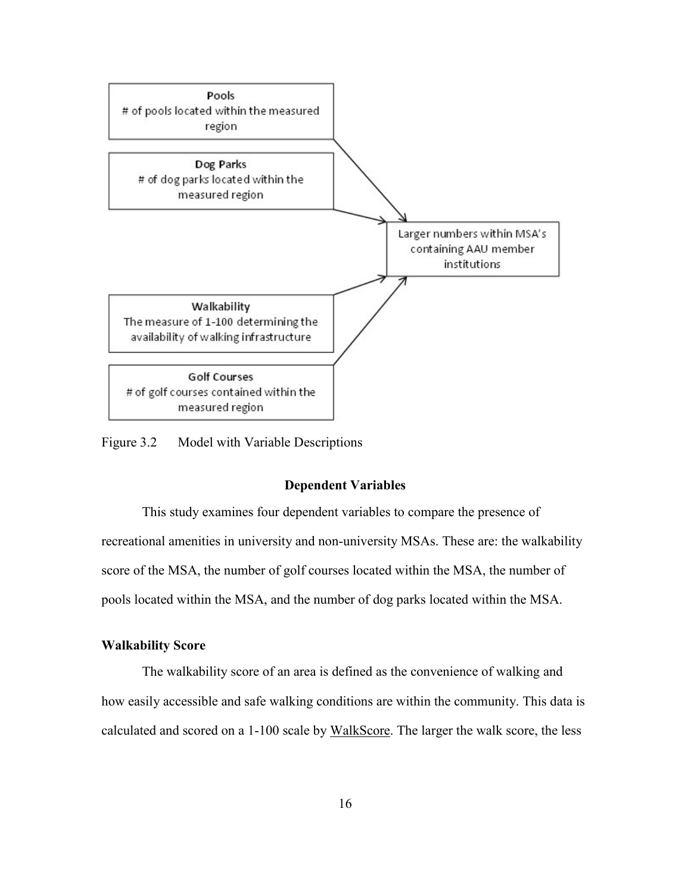

<span id="page-26-2"></span><span id="page-26-0"></span>Figure 3.2 Model with Variable Descriptions

#### **Dependent Variables**

 recreational amenities in university and non-university MSAs. These are: the walkability This study examines four dependent variables to compare the presence of score of the MSA, the number of golf courses located within the MSA, the number of pools located within the MSA, and the number of dog parks located within the MSA.

### <span id="page-26-1"></span>**Walkability Score**

calculated and scored on a 1-100 scale by WalkScore. The larger the walk score, the less The walkability score of an area is defined as the convenience of walking and how easily accessible and safe walking conditions are within the community. This data is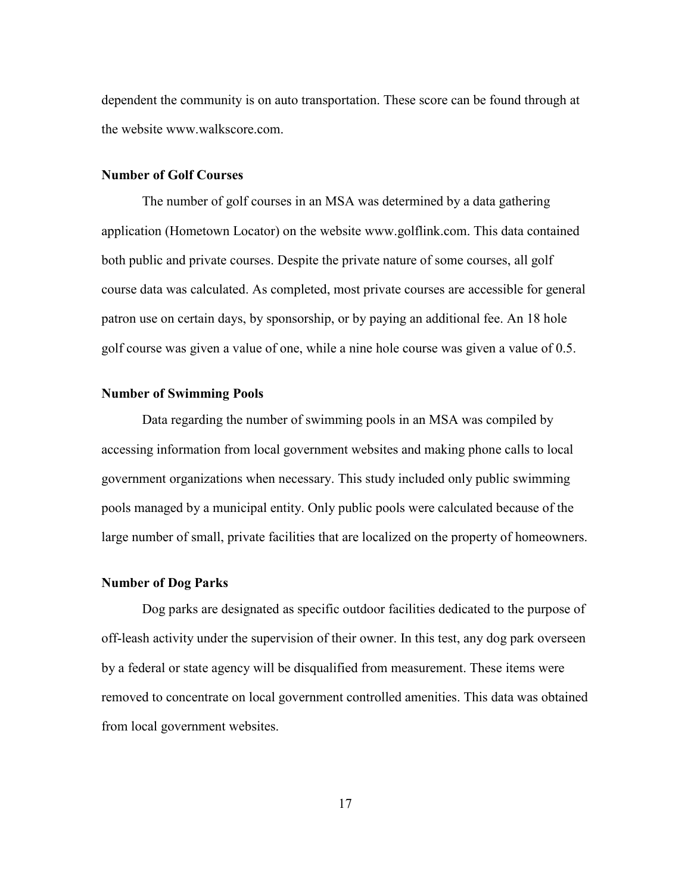dependent the community is on auto transportation. These score can be found through at the website<www.walkscore.com>.

#### <span id="page-27-0"></span> **Number of Golf Courses**

 The number of golf courses in an MSA was determined by a data gathering application (Hometown Locator) on the website [www.golflink.com.](www.golflink.com) This data contained course data was calculated. As completed, most private courses are accessible for general patron use on certain days, by sponsorship, or by paying an additional fee. An 18 hole golf course was given a value of one, while a nine hole course was given a value of 0.5. both public and private courses. Despite the private nature of some courses, all golf

#### <span id="page-27-1"></span> **Number of Swimming Pools**

 government organizations when necessary. This study included only public swimming large number of small, private facilities that are localized on the property of homeowners. Data regarding the number of swimming pools in an MSA was compiled by accessing information from local government websites and making phone calls to local pools managed by a municipal entity. Only public pools were calculated because of the

#### <span id="page-27-2"></span>**Number of Dog Parks**

 by a federal or state agency will be disqualified from measurement. These items were Dog parks are designated as specific outdoor facilities dedicated to the purpose of off-leash activity under the supervision of their owner. In this test, any dog park overseen removed to concentrate on local government controlled amenities. This data was obtained from local government websites.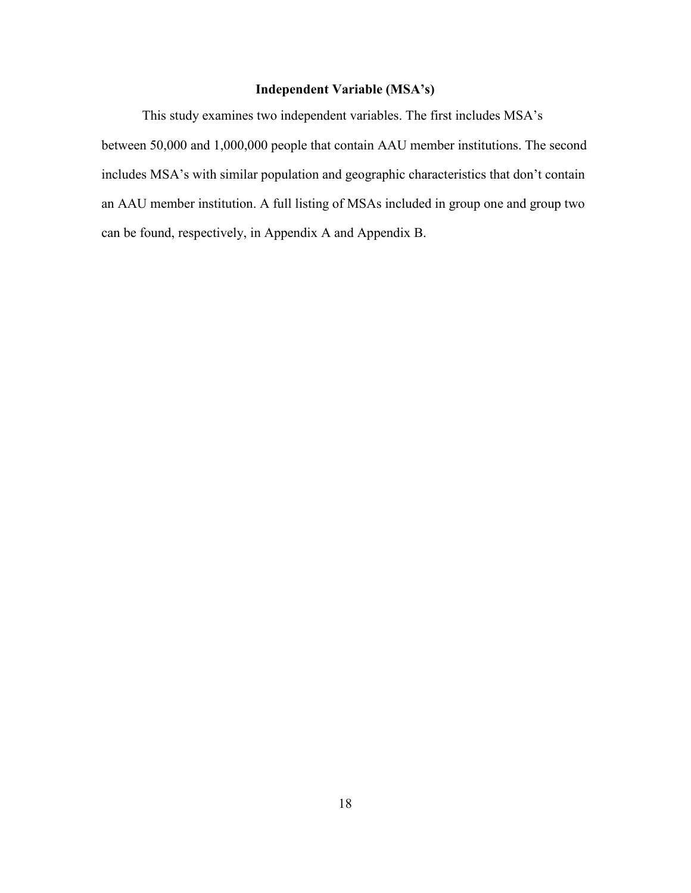## **Independent Variable (MSA's)**

<span id="page-28-0"></span>This study examines two independent variables. The first includes MSA's between 50,000 and 1,000,000 people that contain AAU member institutions. The second includes MSA's with similar population and geographic characteristics that don't contain an AAU member institution. A full listing of MSAs included in group one and group two can be found, respectively, in Appendix A and Appendix B.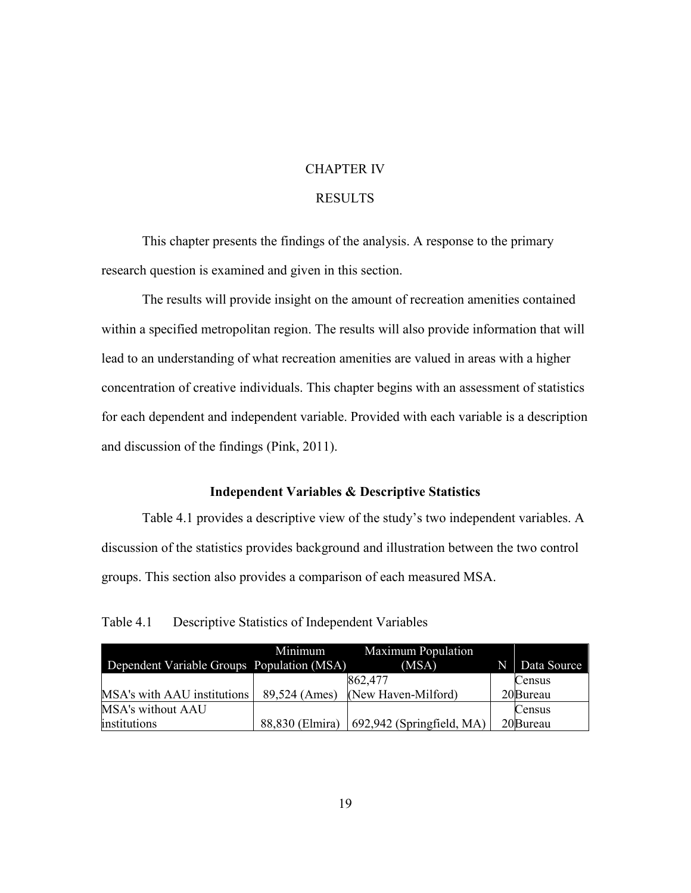#### CHAPTER IV

### RESULTS

<span id="page-29-0"></span> This chapter presents the findings of the analysis. A response to the primary research question is examined and given in this section.

 within a specified metropolitan region. The results will also provide information that will lead to an understanding of what recreation amenities are valued in areas with a higher The results will provide insight on the amount of recreation amenities contained concentration of creative individuals. This chapter begins with an assessment of statistics for each dependent and independent variable. Provided with each variable is a description and discussion of the findings (Pink, 2011).

### **Independent Variables & Descriptive Statistics**

<span id="page-29-1"></span> Table 4.1 provides a descriptive view of the study's two independent variables. A discussion of the statistics provides background and illustration between the two control groups. This section also provides a comparison of each measured MSA.

<span id="page-29-2"></span>Table 4.1 Descriptive Statistics of Independent Variables

|                                            | Minimum         | <b>Maximum Population</b> |   |             |
|--------------------------------------------|-----------------|---------------------------|---|-------------|
| Dependent Variable Groups Population (MSA) |                 | (MSA)                     | N | Data Source |
|                                            |                 | 862,477                   |   | Census      |
| MSA's with AAU institutions                | 89,524 (Ames)   | (New Haven-Milford)       |   | 20 Bureau   |
| <b>MSA's without AAU</b>                   |                 |                           |   | Census      |
| institutions                               | 88,830 (Elmira) | 692,942 (Springfield, MA) |   | 20Bureau    |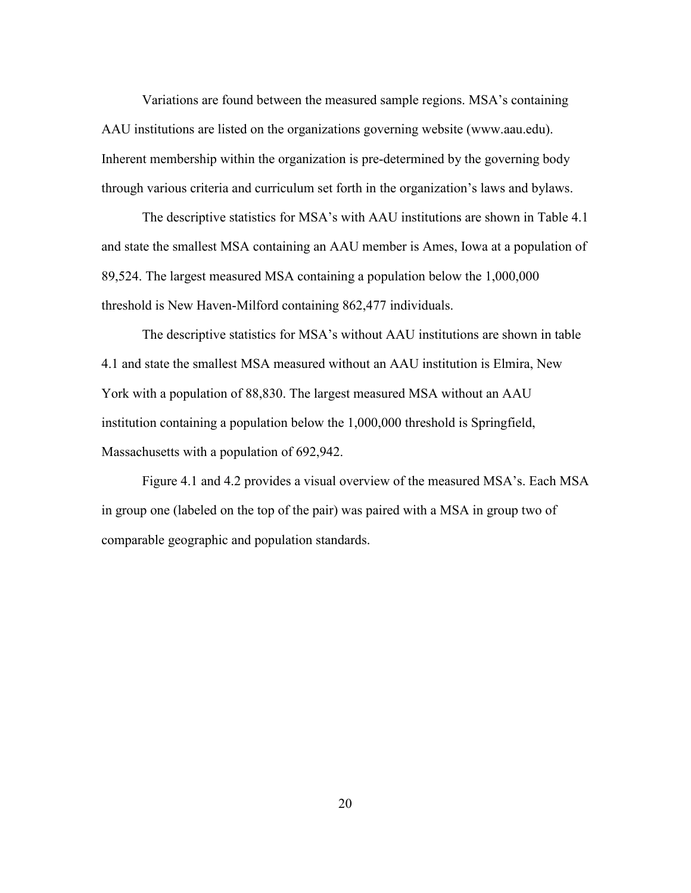AAU institutions are listed on the organizations governing website (<www.aau.edu>). Variations are found between the measured sample regions. MSA's containing Inherent membership within the organization is pre-determined by the governing body through various criteria and curriculum set forth in the organization's laws and bylaws.

 The descriptive statistics for MSA's with AAU institutions are shown in Table 4.1 threshold is New Haven-Milford containing 862,477 individuals. and state the smallest MSA containing an AAU member is Ames, Iowa at a population of 89,524. The largest measured MSA containing a population below the 1,000,000

 The descriptive statistics for MSA's without AAU institutions are shown in table 4.1 and state the smallest MSA measured without an AAU institution is Elmira, New York with a population of 88,830. The largest measured MSA without an AAU institution containing a population below the 1,000,000 threshold is Springfield, Massachusetts with a population of 692,942.

Figure 4.1 and 4.2 provides a visual overview of the measured MSA's. Each MSA in group one (labeled on the top of the pair) was paired with a MSA in group two of comparable geographic and population standards.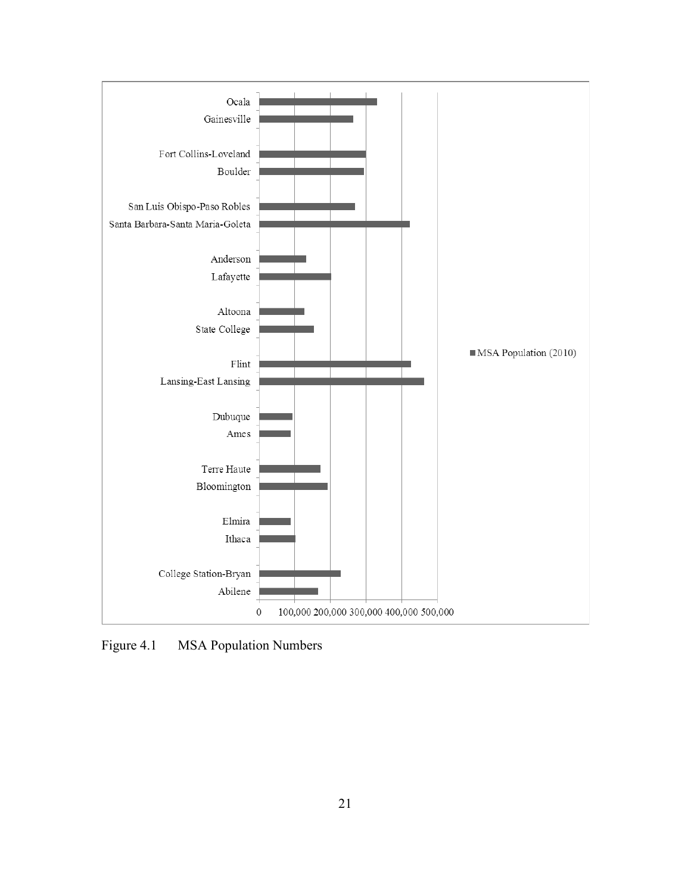

<span id="page-31-0"></span>Figure 4.1 MSA Population Numbers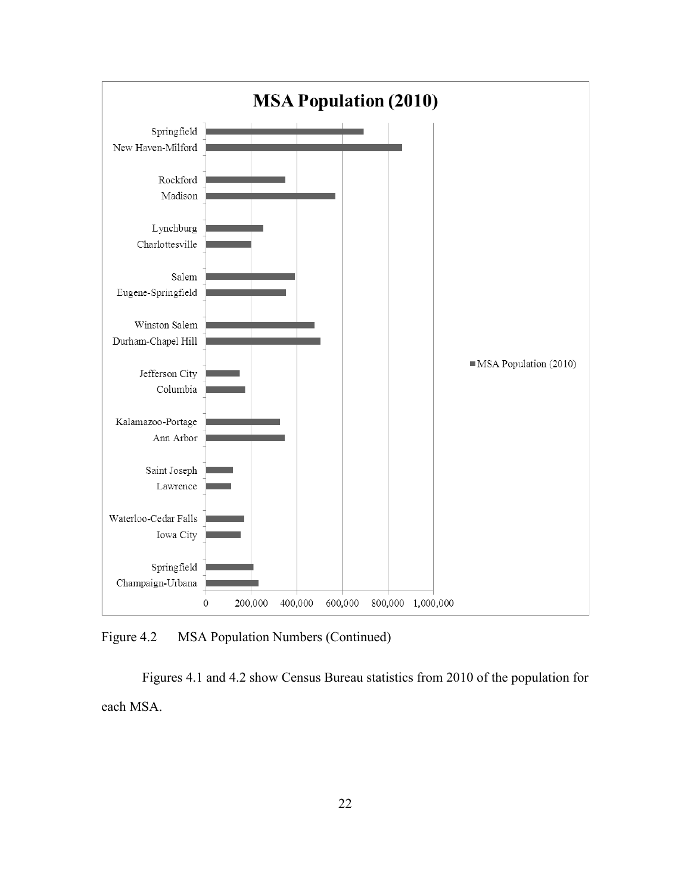

<span id="page-32-0"></span>Figure 4.2 MSA Population Numbers (Continued)

 each MSA. Figures 4.1 and 4.2 show Census Bureau statistics from 2010 of the population for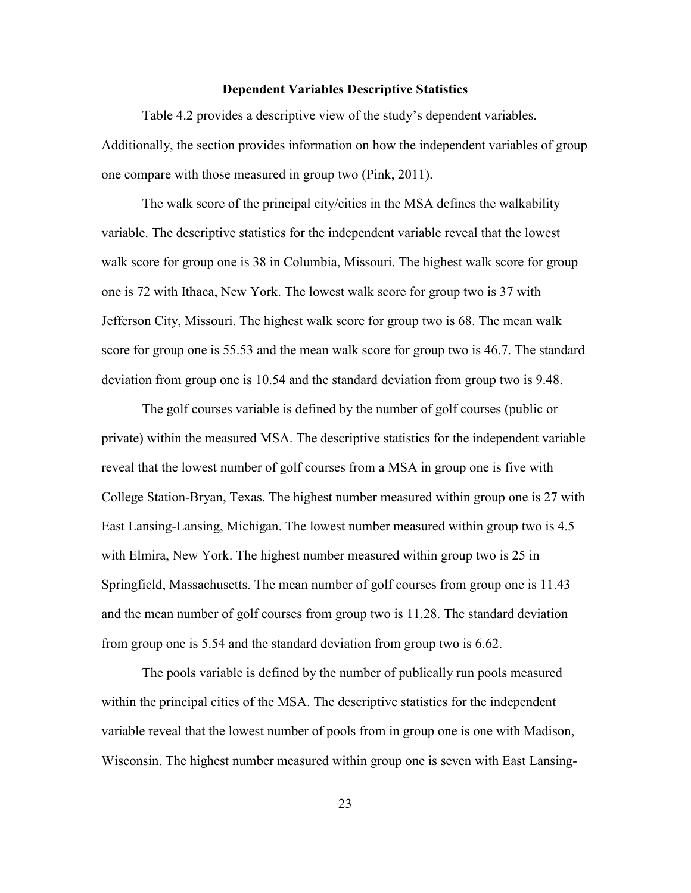#### **Dependent Variables Descriptive Statistics**

<span id="page-33-0"></span>Table 4.2 provides a descriptive view of the study's dependent variables. Additionally, the section provides information on how the independent variables of group one compare with those measured in group two (Pink, 2011).

 The walk score of the principal city/cities in the MSA defines the walkability variable. The descriptive statistics for the independent variable reveal that the lowest walk score for group one is 38 in Columbia, Missouri. The highest walk score for group one is 72 with Ithaca, New York. The lowest walk score for group two is 37 with Jefferson City, Missouri. The highest walk score for group two is 68. The mean walk score for group one is 55.53 and the mean walk score for group two is 46.7. The standard deviation from group one is 10.54 and the standard deviation from group two is 9.48.

 The golf courses variable is defined by the number of golf courses (public or private) within the measured MSA. The descriptive statistics for the independent variable reveal that the lowest number of golf courses from a MSA in group one is five with College Station-Bryan, Texas. The highest number measured within group one is 27 with East Lansing-Lansing, Michigan. The lowest number measured within group two is 4.5 with Elmira, New York. The highest number measured within group two is 25 in Springfield, Massachusetts. The mean number of golf courses from group one is 11.43 and the mean number of golf courses from group two is 11.28. The standard deviation from group one is 5.54 and the standard deviation from group two is 6.62.

 within the principal cities of the MSA. The descriptive statistics for the independent The pools variable is defined by the number of publically run pools measured variable reveal that the lowest number of pools from in group one is one with Madison, Wisconsin. The highest number measured within group one is seven with East Lansing-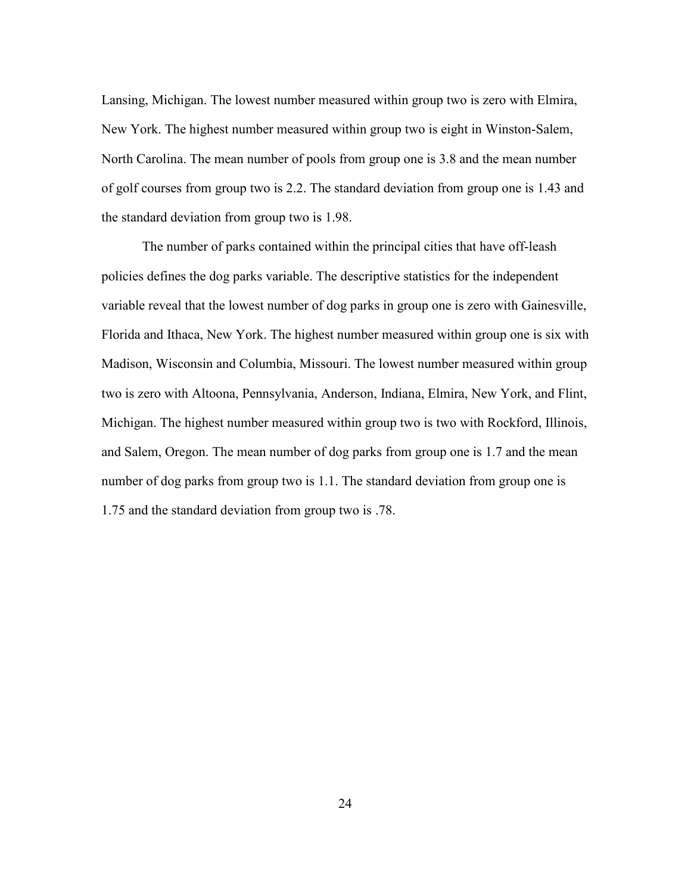of golf courses from group two is 2.2. The standard deviation from group one is 1.43 and Lansing, Michigan. The lowest number measured within group two is zero with Elmira, New York. The highest number measured within group two is eight in Winston-Salem, North Carolina. The mean number of pools from group one is 3.8 and the mean number the standard deviation from group two is 1.98.

 and Salem, Oregon. The mean number of dog parks from group one is 1.7 and the mean The number of parks contained within the principal cities that have off-leash policies defines the dog parks variable. The descriptive statistics for the independent variable reveal that the lowest number of dog parks in group one is zero with Gainesville, Florida and Ithaca, New York. The highest number measured within group one is six with Madison, Wisconsin and Columbia, Missouri. The lowest number measured within group two is zero with Altoona, Pennsylvania, Anderson, Indiana, Elmira, New York, and Flint, Michigan. The highest number measured within group two is two with Rockford, Illinois, number of dog parks from group two is 1.1. The standard deviation from group one is 1.75 and the standard deviation from group two is .78.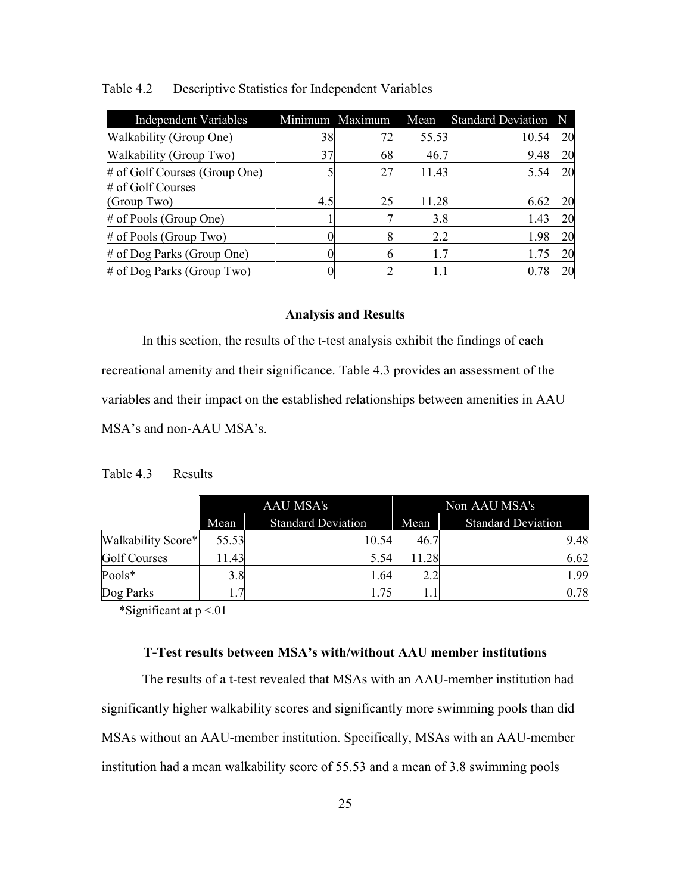| <b>Independent Variables</b>     |     | Minimum Maximum | Mean  | <b>Standard Deviation</b> | N  |
|----------------------------------|-----|-----------------|-------|---------------------------|----|
| Walkability (Group One)          | 38  | 72              | 55.53 | 10.54                     | 20 |
| Walkability (Group Two)          | 37  | 68              | 46.7  | 9.48                      | 20 |
| $\#$ of Golf Courses (Group One) |     | 27              | 11.43 | 5.54                      | 20 |
| # of Golf Courses                |     |                 |       |                           |    |
| (Group Two)                      | 4.5 | 25              | 11.28 | 6.62                      | 20 |
| $\#$ of Pools (Group One)        |     |                 | 3.8   | 1.43                      | 20 |
| $\#$ of Pools (Group Two)        |     |                 | 2.2   | 1.98                      | 20 |
| $\#$ of Dog Parks (Group One)    |     |                 |       | 1.75                      | 20 |
| $\#$ of Dog Parks (Group Two)    |     |                 |       | 0.78                      | 20 |

#### <span id="page-35-2"></span>Table 4.2 Descriptive Statistics for Independent Variables

#### **Analysis and Results**

<span id="page-35-0"></span>In this section, the results of the t-test analysis exhibit the findings of each recreational amenity and their significance. Table 4.3 provides an assessment of the variables and their impact on the established relationships between amenities in AAU MSA's and non-AAU MSA's.

#### <span id="page-35-3"></span>Table 4.3 Results

|                     | AAU MSA's |                           | Non AAU MSA's |                           |
|---------------------|-----------|---------------------------|---------------|---------------------------|
|                     | Mean      | <b>Standard Deviation</b> | Mean          | <b>Standard Deviation</b> |
| Walkability Score*  | 55.53     | 10.54                     | 46.7          | 9.48                      |
| <b>Golf Courses</b> | 11.43     | 5.54                      | 11.28         | 6.62                      |
| Pools*              | 3.8       | 1.64                      | 2.2           | 1.99                      |
| Dog Parks           | 7         | 175                       |               | 0.78                      |

<span id="page-35-1"></span>\*Significant at  $p < 01$ 

#### **T-Test results between MSA's with/without AAU member institutions**

 The results of a t-test revealed that MSAs with an AAU-member institution had significantly higher walkability scores and significantly more swimming pools than did MSAs without an AAU-member institution. Specifically, MSAs with an AAU-member institution had a mean walkability score of 55.53 and a mean of 3.8 swimming pools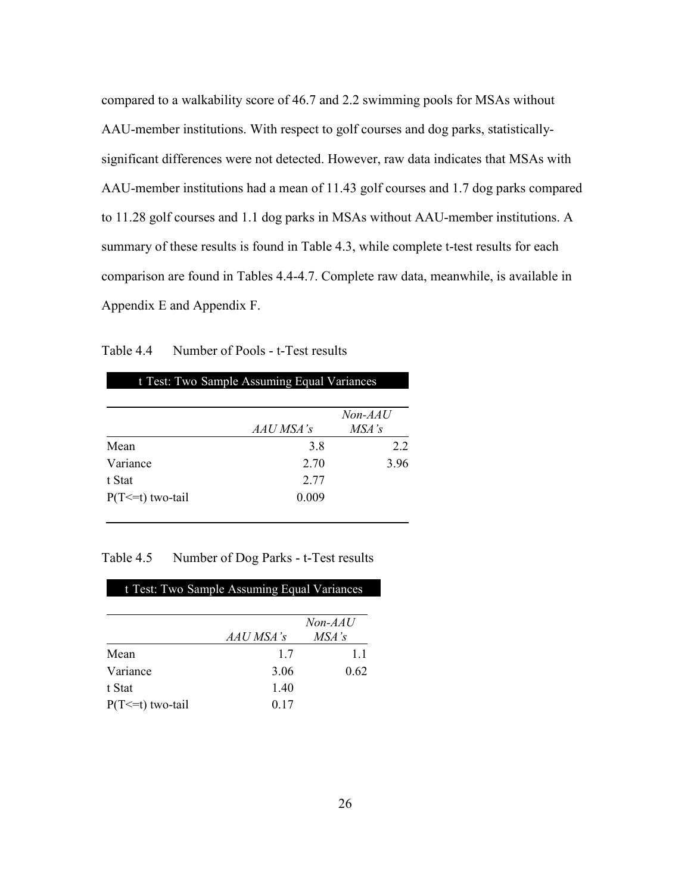compared to a walkability score of 46.7 and 2.2 swimming pools for MSAs without significant differences were not detected. However, raw data indicates that MSAs with AAU-member institutions had a mean of 11.43 golf courses and 1.7 dog parks compared to 11.28 golf courses and 1.1 dog parks in MSAs without AAU-member institutions. A summary of these results is found in Table 4.3, while complete t-test results for each comparison are found in Tables 4.4-4.7. Complete raw data, meanwhile, is available in AAU-member institutions. With respect to golf courses and dog parks, statistically-Appendix E and Appendix F.

<span id="page-36-0"></span>

| Table 4.4 | Number of Pools - t-Test results |  |
|-----------|----------------------------------|--|
|           |                                  |  |

|                       |           | Non-AAU |
|-----------------------|-----------|---------|
|                       | AAU MSA's | MSA's   |
| Mean                  | 3.8       | 2.2     |
| Variance              | 2.70      | 3.96    |
| t Stat                | 2.77      |         |
| $P(T \le t)$ two-tail | 0.009     |         |

t-Test: Two-Sample Assuming Equal Variances

### <span id="page-36-1"></span>Table 4.5 Number of Dog Parks - t-Test results

| t Test: Two Sample Assuming Equal Variances |           |         |  |
|---------------------------------------------|-----------|---------|--|
|                                             |           | Non-AAU |  |
|                                             | AAU MSA's | MSA's   |  |
| Mean                                        | 17        | 11      |  |
| Variance                                    | 3.06      | 0.62    |  |
| t Stat                                      | 1.40      |         |  |
| $P(T \le t)$ two-tail                       | 0.17      |         |  |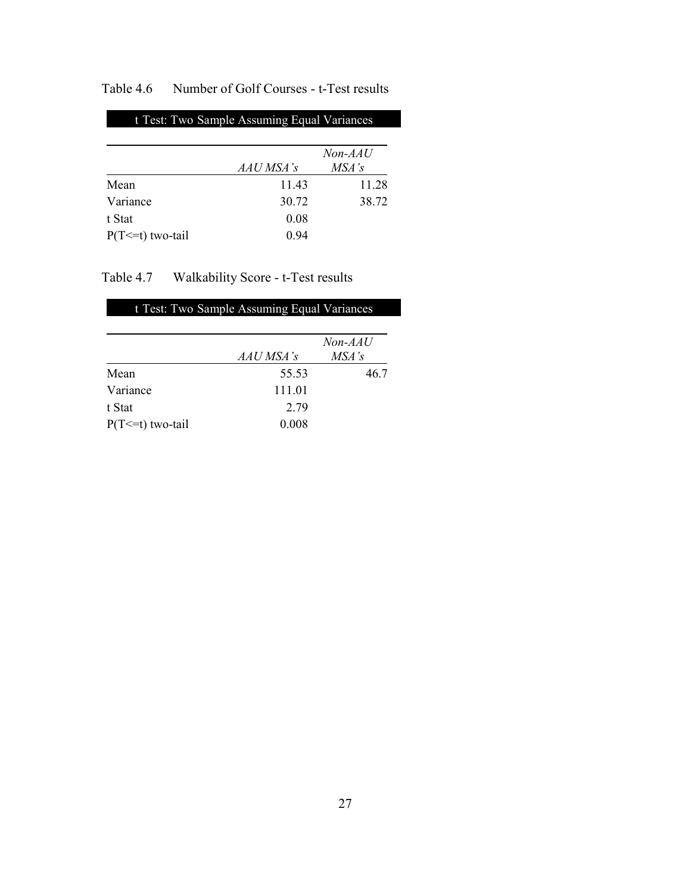# <span id="page-37-0"></span>Table 4.6 Number of Golf Courses - t-Test results

# t Test: Two-Sample Assuming Equal Variances *Non-AAU*  $A A U M S A's$

|                       | аас мэа э | тол э |
|-----------------------|-----------|-------|
| Mean                  | 1143      | 11.28 |
| Variance              | 30.72     | 38.72 |
| t Stat                | 0.08      |       |
| $P(T \le t)$ two-tail | 0.94      |       |

# <span id="page-37-1"></span>Table 4.7 Walkability Score - t-Test results

| t Test: Two Sample Assuming Equal Variances |           |           |  |
|---------------------------------------------|-----------|-----------|--|
|                                             |           |           |  |
|                                             |           | $Non-AAU$ |  |
|                                             | AAU MSA's | MSA's     |  |
| Mean                                        | 55.53     | 46.7      |  |
| Variance                                    | 111.01    |           |  |
| t Stat                                      | 2.79      |           |  |
| $P(T \le t)$ two-tail                       | 0.008     |           |  |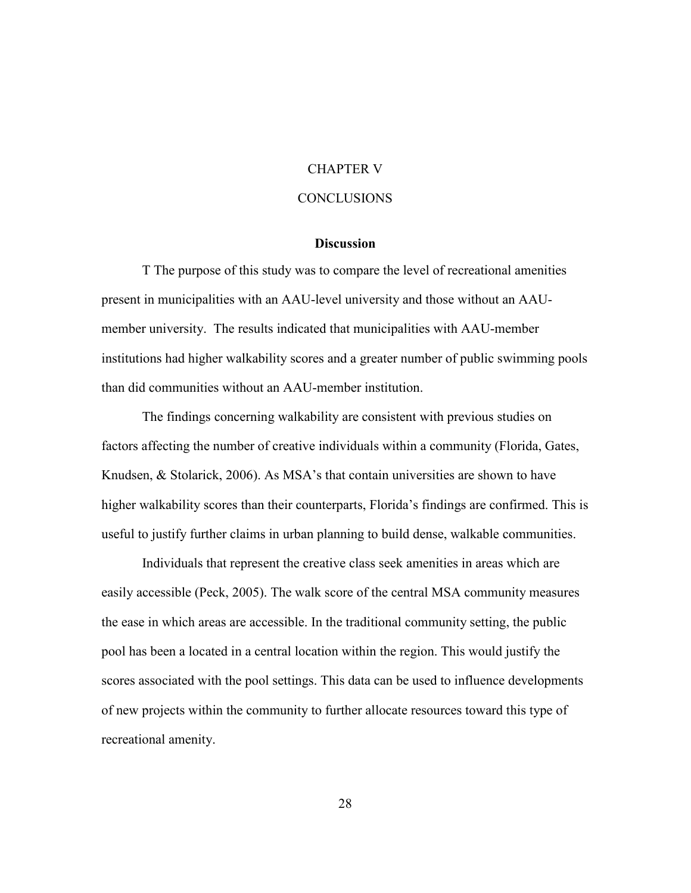#### CHAPTER V

### **CONCLUSIONS**

### **Discussion**

<span id="page-38-1"></span><span id="page-38-0"></span> present in municipalities with an AAU-level university and those without an AAU- member university. The results indicated that municipalities with AAU-member than did communities without an AAU-member institution. T The purpose of this study was to compare the level of recreational amenities institutions had higher walkability scores and a greater number of public swimming pools

 The findings concerning walkability are consistent with previous studies on useful to justify further claims in urban planning to build dense, walkable communities. factors affecting the number of creative individuals within a community (Florida, Gates, Knudsen, & Stolarick, 2006). As MSA's that contain universities are shown to have higher walkability scores than their counterparts, Florida's findings are confirmed. This is

 Individuals that represent the creative class seek amenities in areas which are easily accessible (Peck, 2005). The walk score of the central MSA community measures the ease in which areas are accessible. In the traditional community setting, the public scores associated with the pool settings. This data can be used to influence developments pool has been a located in a central location within the region. This would justify the of new projects within the community to further allocate resources toward this type of recreational amenity.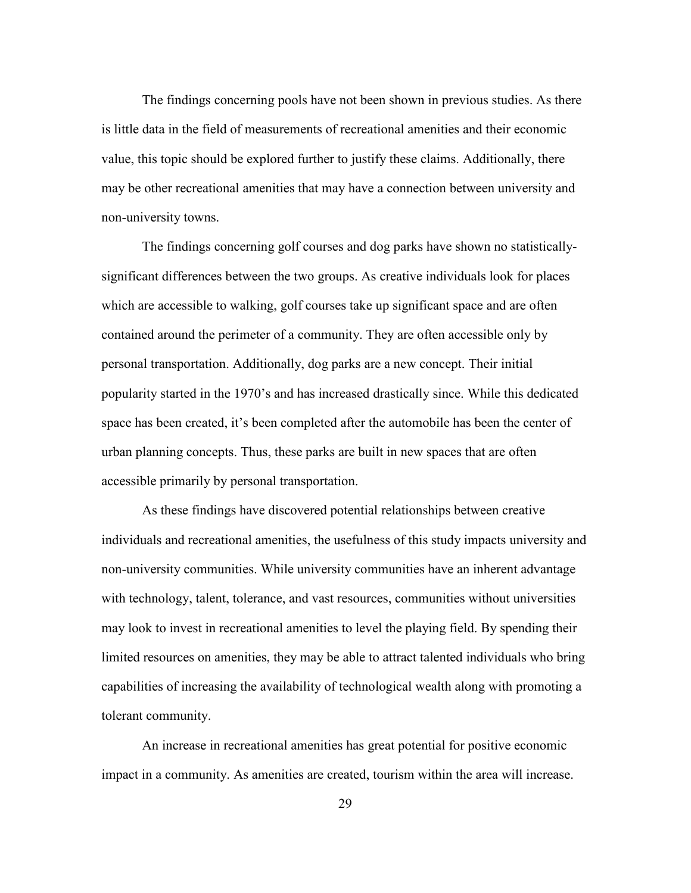The findings concerning pools have not been shown in previous studies. As there is little data in the field of measurements of recreational amenities and their economic value, this topic should be explored further to justify these claims. Additionally, there may be other recreational amenities that may have a connection between university and non-university towns.

 The findings concerning golf courses and dog parks have shown no statistically- which are accessible to walking, golf courses take up significant space and are often space has been created, it's been completed after the automobile has been the center of accessible primarily by personal transportation. significant differences between the two groups. As creative individuals look for places contained around the perimeter of a community. They are often accessible only by personal transportation. Additionally, dog parks are a new concept. Their initial popularity started in the 1970's and has increased drastically since. While this dedicated urban planning concepts. Thus, these parks are built in new spaces that are often

 As these findings have discovered potential relationships between creative may look to invest in recreational amenities to level the playing field. By spending their limited resources on amenities, they may be able to attract talented individuals who bring capabilities of increasing the availability of technological wealth along with promoting a individuals and recreational amenities, the usefulness of this study impacts university and non-university communities. While university communities have an inherent advantage with technology, talent, tolerance, and vast resources, communities without universities tolerant community.

 An increase in recreational amenities has great potential for positive economic impact in a community. As amenities are created, tourism within the area will increase.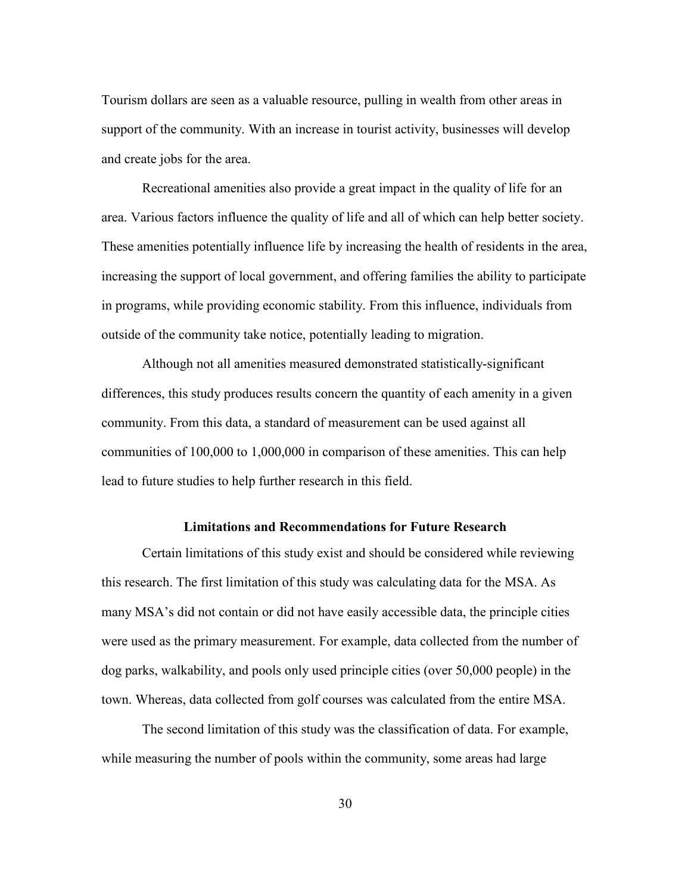Tourism dollars are seen as a valuable resource, pulling in wealth from other areas in and create jobs for the area. support of the community. With an increase in tourist activity, businesses will develop

 Recreational amenities also provide a great impact in the quality of life for an area. Various factors influence the quality of life and all of which can help better society. These amenities potentially influence life by increasing the health of residents in the area, increasing the support of local government, and offering families the ability to participate outside of the community take notice, potentially leading to migration. in programs, while providing economic stability. From this influence, individuals from

 Although not all amenities measured demonstrated statistically-significant differences, this study produces results concern the quantity of each amenity in a given communities of 100,000 to 1,000,000 in comparison of these amenities. This can help community. From this data, a standard of measurement can be used against all lead to future studies to help further research in this field.

#### **Limitations and Recommendations for Future Research**

<span id="page-40-0"></span> this research. The first limitation of this study was calculating data for the MSA. As were used as the primary measurement. For example, data collected from the number of town. Whereas, data collected from golf courses was calculated from the entire MSA. Certain limitations of this study exist and should be considered while reviewing many MSA's did not contain or did not have easily accessible data, the principle cities dog parks, walkability, and pools only used principle cities (over 50,000 people) in the

The second limitation of this study was the classification of data. For example, while measuring the number of pools within the community, some areas had large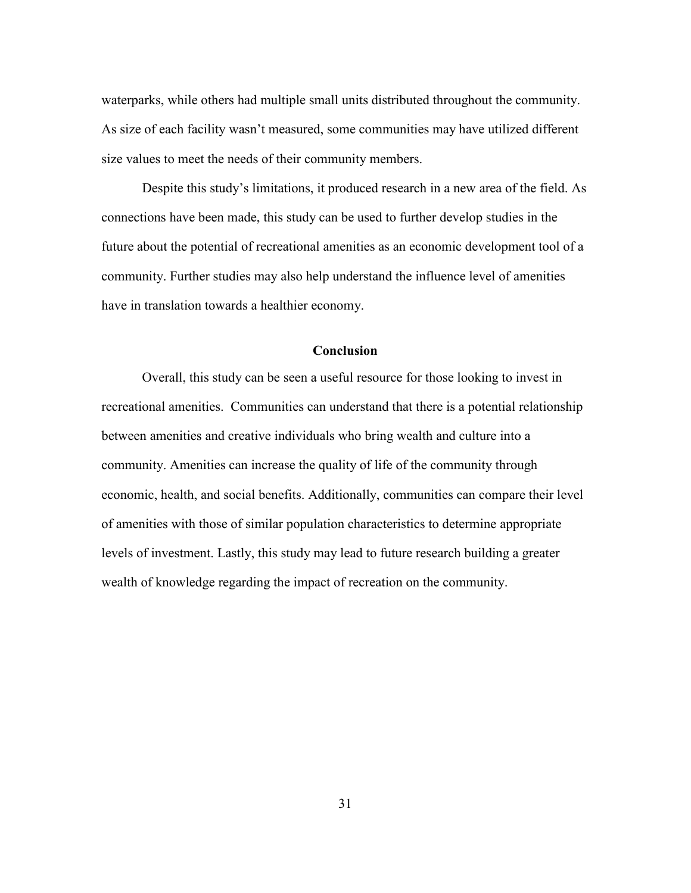As size of each facility wasn't measured, some communities may have utilized different size values to meet the needs of their community members. waterparks, while others had multiple small units distributed throughout the community.

 future about the potential of recreational amenities as an economic development tool of a have in translation towards a healthier economy. Despite this study's limitations, it produced research in a new area of the field. As connections have been made, this study can be used to further develop studies in the community. Further studies may also help understand the influence level of amenities

#### **Conclusion**

 recreational amenities. Communities can understand that there is a potential relationship of amenities with those of similar population characteristics to determine appropriate levels of investment. Lastly, this study may lead to future research building a greater Overall, this study can be seen a useful resource for those looking to invest in between amenities and creative individuals who bring wealth and culture into a community. Amenities can increase the quality of life of the community through economic, health, and social benefits. Additionally, communities can compare their level wealth of knowledge regarding the impact of recreation on the community.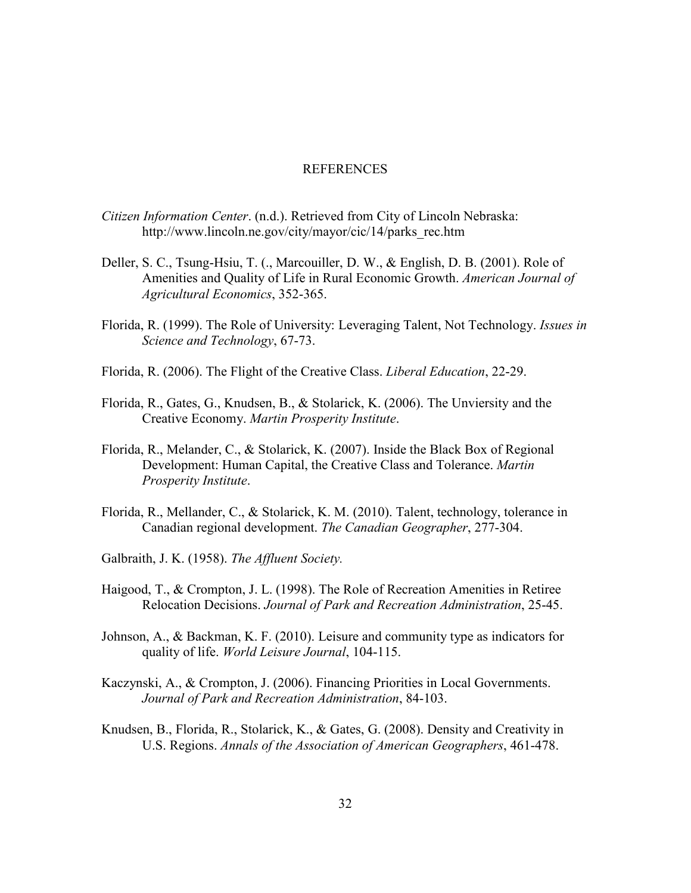#### REFERENCES

- <span id="page-42-0"></span>*Citizen Information Center*. (n.d.). Retrieved from City of Lincoln Nebraska: [http://www.lincoln.ne.gov/city/mayor/cic/14/parks\\_rec.htm](http://www.lincoln.ne.gov/city/mayor/cic/14/parks_rec.htm)
- Deller, S. C., Tsung-Hsiu, T. (., Marcouiller, D. W., & English, D. B. (2001). Role of Amenities and Quality of Life in Rural Economic Growth. *American Journal of Agricultural Economics*, 352-365.
- Florida, R. (1999). The Role of University: Leveraging Talent, Not Technology. *Issues in Science and Technology*, 67-73.
- Florida, R. (2006). The Flight of the Creative Class. *Liberal Education*, 22-29.
- Florida, R., Gates, G., Knudsen, B., & Stolarick, K. (2006). The Unviersity and the Creative Economy. *Martin Prosperity Institute*.
- Development: Human Capital, the Creative Class and Tolerance. *Martin*  Florida, R., Melander, C., & Stolarick, K. (2007). Inside the Black Box of Regional *Prosperity Institute*.
- Florida, R., Mellander, C., & Stolarick, K. M. (2010). Talent, technology, tolerance in Canadian regional development. *The Canadian Geographer*, 277-304.
- Galbraith, J. K. (1958). *The Affluent Society.*
- Haigood, T., & Crompton, J. L. (1998). The Role of Recreation Amenities in Retiree Relocation Decisions. *Journal of Park and Recreation Administration*, 25-45.
- Johnson, A., & Backman, K. F. (2010). Leisure and community type as indicators for quality of life. *World Leisure Journal*, 104-115.
- Kaczynski, A., & Crompton, J. (2006). Financing Priorities in Local Governments. *Journal of Park and Recreation Administration*, 84-103.
- Knudsen, B., Florida, R., Stolarick, K., & Gates, G. (2008). Density and Creativity in U.S. Regions. *Annals of the Association of American Geographers*, 461-478.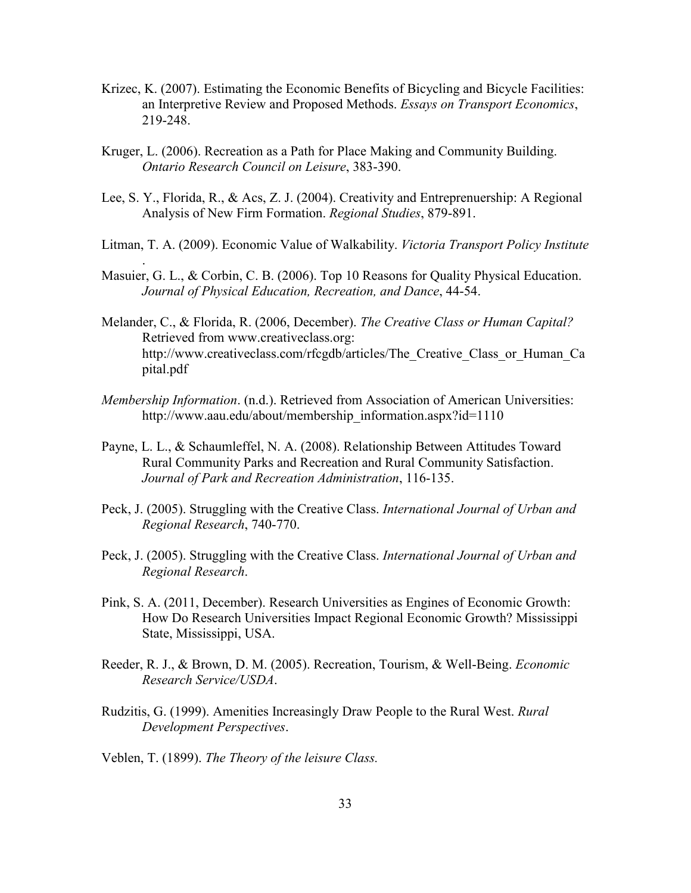- Krizec, K. (2007). Estimating the Economic Benefits of Bicycling and Bicycle Facilities: an Interpretive Review and Proposed Methods. *Essays on Transport Economics*, 219-248.
- Kruger, L. (2006). Recreation as a Path for Place Making and Community Building. *Ontario Research Council on Leisure*, 383-390.
- Analysis of New Firm Formation. *Regional Studies*, 879-891. Lee, S. Y., Florida, R., & Acs, Z. J. (2004). Creativity and Entreprenuership: A Regional
- Litman, T. A. (2009). Economic Value of Walkability. *Victoria Transport Policy Institute*
- Masuier, G. L., & Corbin, C. B. (2006). Top 10 Reasons for Quality Physical Education. *Journal of Physical Education, Recreation, and Dance*, 44-54.
- Melander, C., & Florida, R. (2006, December). *The Creative Class or Human Capital?* Retrieved from <www.creativeclass.org>: [http://www.creativeclass.com/rfcgdb/articles/The\\_Creative\\_Class\\_or\\_Human\\_Ca](http://www.creativeclass.com/rfcgdb/articles/The_Creative_Class_or_Human_Ca) pital.pdf
- *Membership Information*. (n.d.). Retrieved from Association of American Universities: [http://www.aau.edu/about/membership\\_information.aspx?id=1110](http://www.aau.edu/about/membership_information.aspx?id=1110)
- Payne, L. L., & Schaumleffel, N. A. (2008). Relationship Between Attitudes Toward Rural Community Parks and Recreation and Rural Community Satisfaction. *Journal of Park and Recreation Administration*, 116-135.
- Peck, J. (2005). Struggling with the Creative Class. *International Journal of Urban and Regional Research*, 740-770.
- Peck, J. (2005). Struggling with the Creative Class. *International Journal of Urban and Regional Research*.
- How Do Research Universities Impact Regional Economic Growth? Mississippi State, Mississippi, USA. Pink, S. A. (2011, December). Research Universities as Engines of Economic Growth:
- Reeder, R. J., & Brown, D. M. (2005). Recreation, Tourism, & Well-Being. *Economic Research Service/USDA*.
- Rudzitis, G. (1999). Amenities Increasingly Draw People to the Rural West. *Rural Development Perspectives*.
- Veblen, T. (1899). *The Theory of the leisure Class.*

.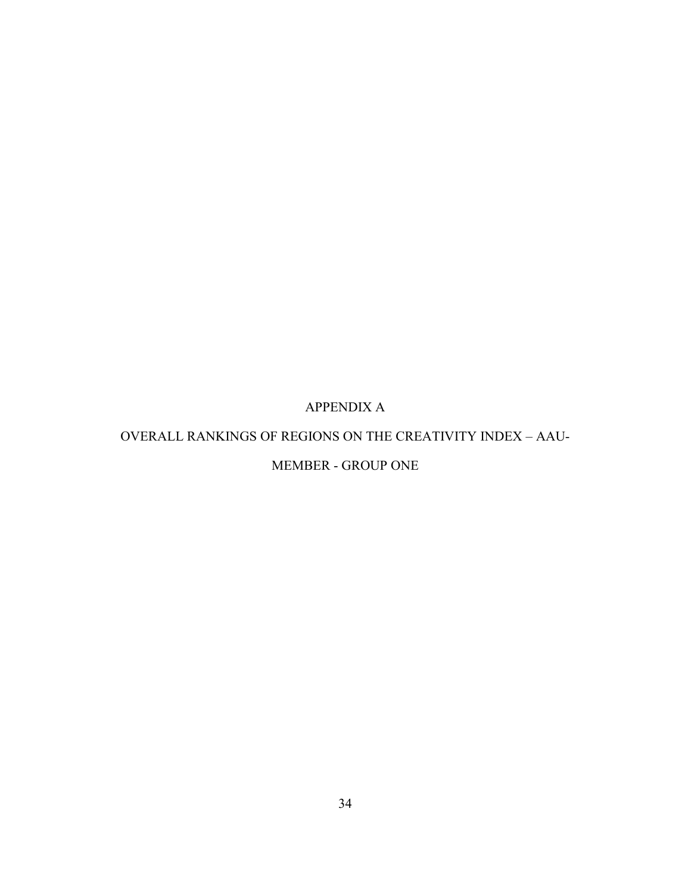# APPENDIX A

### <span id="page-44-1"></span><span id="page-44-0"></span>OVERALL RANKINGS OF REGIONS ON THE CREATIVITY INDEX – AAU-

# MEMBER - GROUP ONE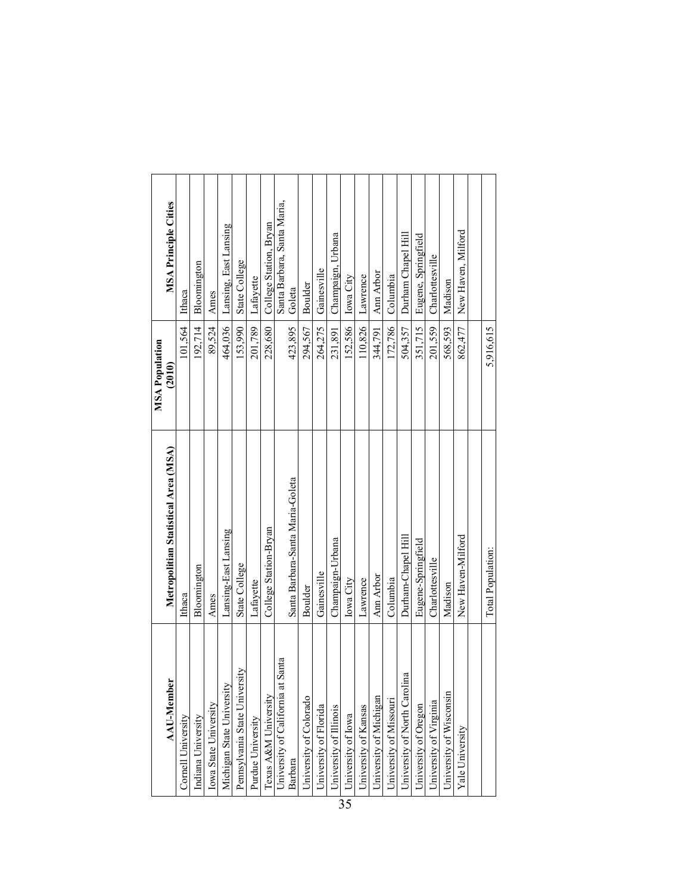|                                      |                                      | <b>MSA Population</b> |                             |
|--------------------------------------|--------------------------------------|-----------------------|-----------------------------|
| <b>AAU-Member</b>                    | Metropolitian Statistical Area (MSA) | (2010)                | <b>MSA Principle Cities</b> |
| Cornell University                   | Ithaca                               | 101,564               | Ithaca                      |
| Indiana University                   | Bloomington                          | 192,714               | Bloomington                 |
| Iowa State University                | Ames                                 | 89.524                | Ames                        |
| Michigan State University            | Lansing-East Lansing                 | 464,036               | Lansing, East Lansing       |
| Pennsylvania State University        | State College                        | 153,990               | State College               |
| Purdue University                    | Lafayette                            | 201.789               | Lafayette                   |
| Texas A&M University                 | College Station-Bryan                | 228,680               | College Station, Bryan      |
| Santa<br>University of California at |                                      |                       | Santa Barbara, Santa Maria, |
| Barbara                              | Santa Barbara-Santa Maria-Goleta     | 423.895               | Goleta                      |
| University of Colorado               | Boulder                              | 294,567               | Boulder                     |
| University of Florida                | Gainesville                          | 264,275               | Gainesville                 |
| University of Illinois               | Champaign-Urbana                     | 231,891               | Champaign, Urbana           |
| University of Iowa                   | Iowa City                            | 152,586               | Iowa City                   |
| University of Kansas                 | Lawrence                             | 110,826               | Lawrence                    |
| University of Michigan               | Ann Arbor                            | 344,791               | Ann Arbor                   |
| University of Missouri               | Columbia                             | 172,786               | Columbia                    |
| University of North Carolina         | Durham-Chapel Hill                   | 504.357               | Durham Chapel Hill          |
| University of Oregon                 | Eugene-Springfield                   | 351.715               | Eugene, Springfield         |
| University of Virginia               | Charlottesville                      | 201.559               | Charlottesville             |
| University of Wisconsin              | Madison                              | 568,593               | Madison                     |
| Yale University                      | New Haven-Milford                    | 862,477               | New Haven, Milford          |
|                                      |                                      |                       |                             |
|                                      | Total Population:                    | 5.916.615             |                             |
|                                      |                                      |                       |                             |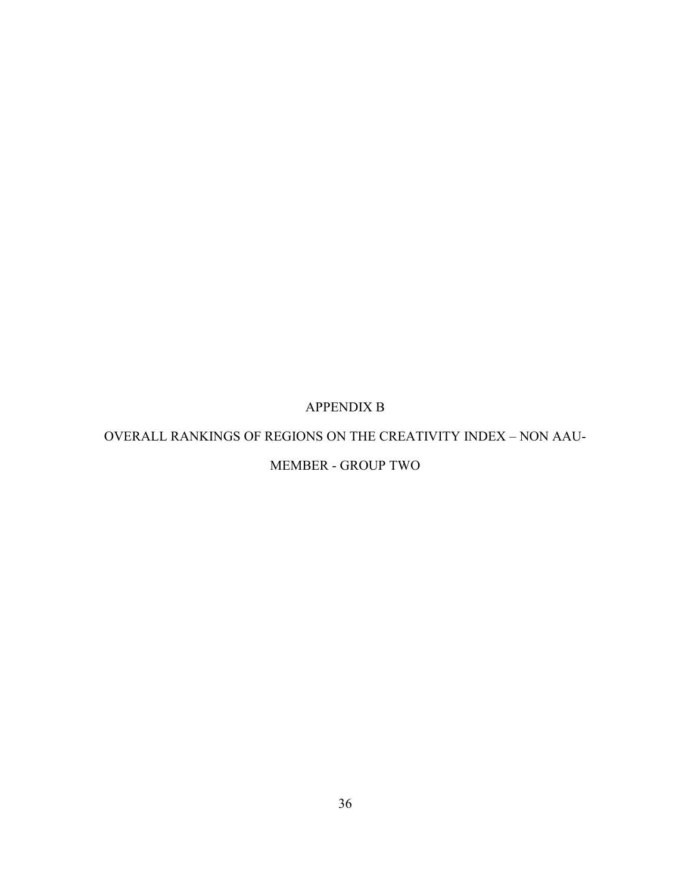# APPENDIX B

### <span id="page-46-0"></span>OVERALL RANKINGS OF REGIONS ON THE CREATIVITY INDEX – NON AAU-

# MEMBER - GROUP TWO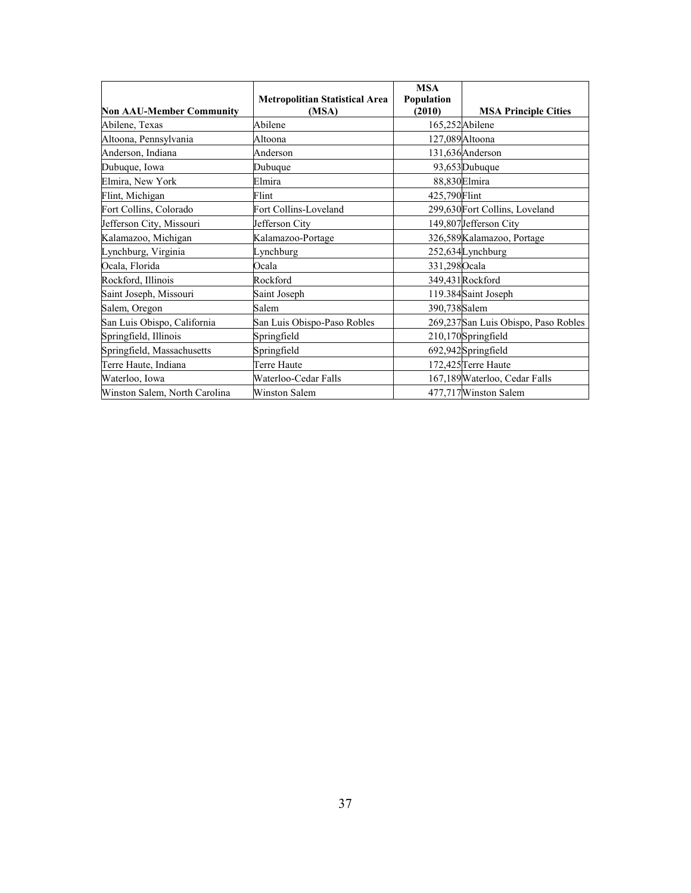|                                 | <b>Metropolitian Statistical Area</b> | <b>MSA</b><br>Population |                                     |
|---------------------------------|---------------------------------------|--------------------------|-------------------------------------|
| <b>Non AAU-Member Community</b> | (MSA)                                 | (2010)                   | <b>MSA Principle Cities</b>         |
| Abilene, Texas                  | Abilene                               |                          | 165,252Abilene                      |
| Altoona, Pennsylvania           | Altoona                               |                          | 127,089 Altoona                     |
| Anderson, Indiana               | Anderson                              |                          | 131,636Anderson                     |
| Dubuque, Iowa                   | Dubuque                               |                          | 93,653 Dubuque                      |
| Elmira, New York                | Elmira                                |                          | 88,830Elmira                        |
| Flint, Michigan                 | Flint                                 | 425,790 Flint            |                                     |
| Fort Collins, Colorado          | Fort Collins-Loveland                 |                          | 299,630 Fort Collins, Loveland      |
| Jefferson City, Missouri        | Jefferson City                        |                          | 149,807Jefferson City               |
| Kalamazoo, Michigan             | Kalamazoo-Portage                     |                          | 326,589 Kalamazoo, Portage          |
| Lynchburg, Virginia             | Lynchburg                             |                          | 252,634Lynchburg                    |
| Ocala, Florida                  | Ocala                                 | 331,298Ocala             |                                     |
| Rockford, Illinois              | Rockford                              |                          | 349,431 Rockford                    |
| Saint Joseph, Missouri          | Saint Joseph                          |                          | 119.384Saint Joseph                 |
| Salem, Oregon                   | Salem                                 | 390,738Salem             |                                     |
| San Luis Obispo, California     | San Luis Obispo-Paso Robles           |                          | 269,237San Luis Obispo, Paso Robles |
| Springfield, Illinois           | Springfield                           |                          | 210,170Springfield                  |
| Springfield, Massachusetts      | Springfield                           |                          | 692,942Springfield                  |
| Terre Haute, Indiana            | Terre Haute                           |                          | 172,425 Terre Haute                 |
| Waterloo, Iowa                  | Waterloo-Cedar Falls                  |                          | 167,189 Waterloo, Cedar Falls       |
| Winston Salem, North Carolina   | <b>Winston Salem</b>                  |                          | 477,717 Winston Salem               |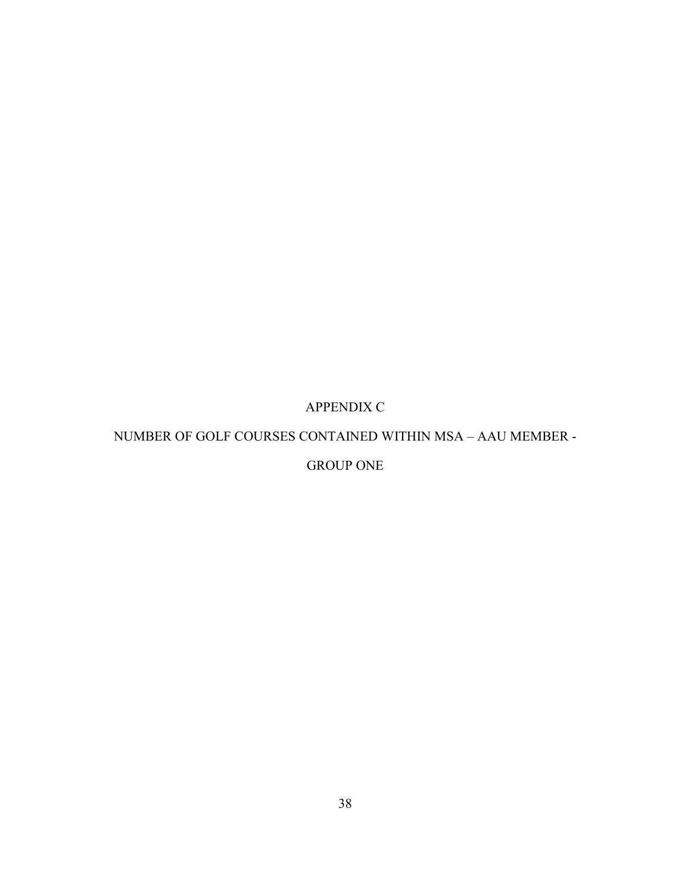# APPENDIX C

### <span id="page-48-0"></span>NUMBER OF GOLF COURSES CONTAINED WITHIN MSA – AAU MEMBER -

# GROUP ONE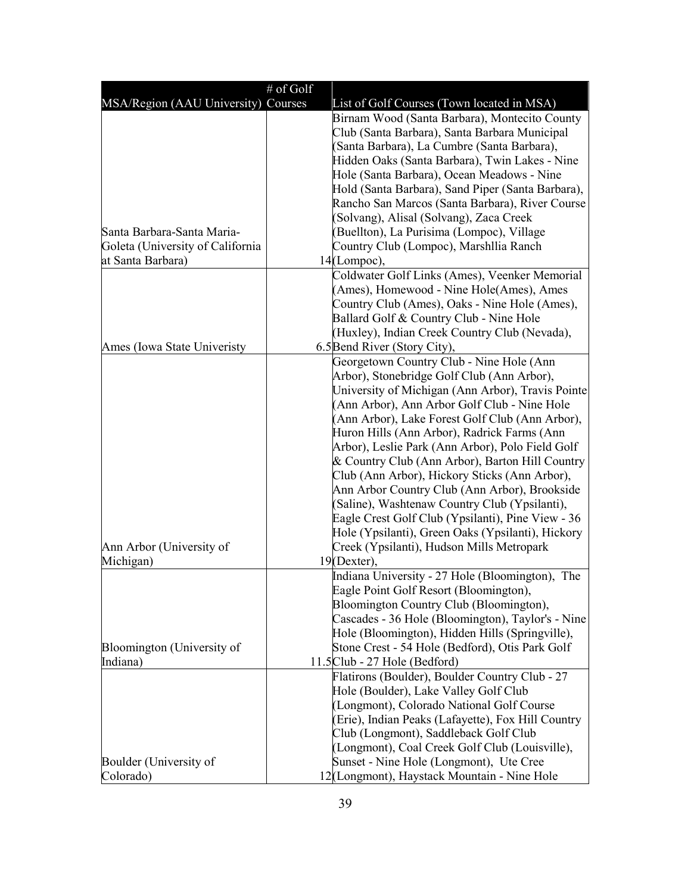|                                     | # of Golf                                                                                       |
|-------------------------------------|-------------------------------------------------------------------------------------------------|
| MSA/Region (AAU University) Courses | List of Golf Courses (Town located in MSA)                                                      |
|                                     | Birnam Wood (Santa Barbara), Montecito County                                                   |
|                                     | Club (Santa Barbara), Santa Barbara Municipal                                                   |
|                                     | (Santa Barbara), La Cumbre (Santa Barbara),                                                     |
|                                     | Hidden Oaks (Santa Barbara), Twin Lakes - Nine                                                  |
|                                     | Hole (Santa Barbara), Ocean Meadows - Nine                                                      |
|                                     | Hold (Santa Barbara), Sand Piper (Santa Barbara),                                               |
|                                     | Rancho San Marcos (Santa Barbara), River Course                                                 |
|                                     | (Solvang), Alisal (Solvang), Zaca Creek                                                         |
| Santa Barbara-Santa Maria-          | (Buellton), La Purisima (Lompoc), Village                                                       |
| Goleta (University of California    | Country Club (Lompoc), Marshilia Ranch                                                          |
| at Santa Barbara)                   | $14$ (Lompoc),                                                                                  |
|                                     | Coldwater Golf Links (Ames), Veenker Memorial                                                   |
|                                     | (Ames), Homewood - Nine Hole(Ames), Ames                                                        |
|                                     | Country Club (Ames), Oaks - Nine Hole (Ames),                                                   |
|                                     | Ballard Golf & Country Club - Nine Hole                                                         |
|                                     | (Huxley), Indian Creek Country Club (Nevada),                                                   |
| Ames (Iowa State Univeristy         | 6.5 Bend River (Story City),                                                                    |
|                                     | Georgetown Country Club - Nine Hole (Ann                                                        |
|                                     | Arbor), Stonebridge Golf Club (Ann Arbor),<br>University of Michigan (Ann Arbor), Travis Pointe |
|                                     | (Ann Arbor), Ann Arbor Golf Club - Nine Hole                                                    |
|                                     | (Ann Arbor), Lake Forest Golf Club (Ann Arbor),                                                 |
|                                     | Huron Hills (Ann Arbor), Radrick Farms (Ann                                                     |
|                                     | Arbor), Leslie Park (Ann Arbor), Polo Field Golf                                                |
|                                     | & Country Club (Ann Arbor), Barton Hill Country                                                 |
|                                     | Club (Ann Arbor), Hickory Sticks (Ann Arbor),                                                   |
|                                     | Ann Arbor Country Club (Ann Arbor), Brookside                                                   |
|                                     | (Saline), Washtenaw Country Club (Ypsilanti),                                                   |
|                                     | Eagle Crest Golf Club (Ypsilanti), Pine View - 36                                               |
|                                     | Hole (Ypsilanti), Green Oaks (Ypsilanti), Hickory                                               |
| Ann Arbor (University of            | Creek (Ypsilanti), Hudson Mills Metropark                                                       |
| Michigan)                           | $19$ (Dexter).                                                                                  |
|                                     | Indiana University - 27 Hole (Bloomington), The                                                 |
|                                     | Eagle Point Golf Resort (Bloomington),                                                          |
|                                     | Bloomington Country Club (Bloomington),                                                         |
|                                     | Cascades - 36 Hole (Bloomington), Taylor's - Nine                                               |
|                                     | Hole (Bloomington), Hidden Hills (Springville),                                                 |
| Bloomington (University of          | Stone Crest - 54 Hole (Bedford), Otis Park Golf                                                 |
| Indiana)                            | 11.5 Club - 27 Hole (Bedford)                                                                   |
|                                     | Flatirons (Boulder), Boulder Country Club - 27                                                  |
|                                     | Hole (Boulder), Lake Valley Golf Club                                                           |
|                                     | (Longmont), Colorado National Golf Course                                                       |
|                                     | (Erie), Indian Peaks (Lafayette), Fox Hill Country                                              |
|                                     | Club (Longmont), Saddleback Golf Club                                                           |
|                                     | (Longmont), Coal Creek Golf Club (Louisville),                                                  |
| Boulder (University of              | Sunset - Nine Hole (Longmont), Ute Cree                                                         |
| Colorado)                           | 12(Longmont), Haystack Mountain - Nine Hole                                                     |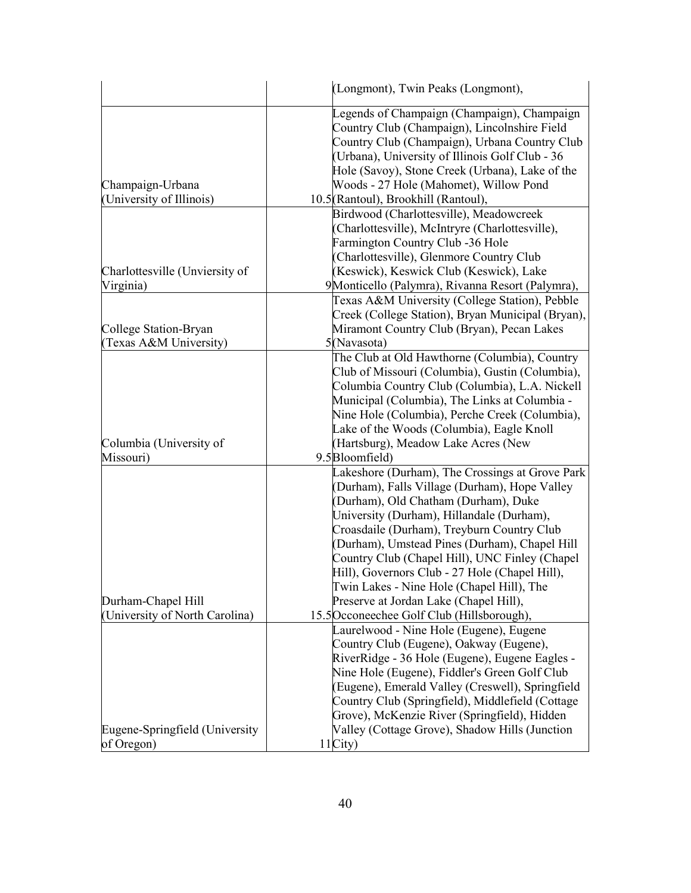|                                                      | (Longmont), Twin Peaks (Longmont),                                                                                                                                                                                                                                                                                                                                                                                                                                                                                            |
|------------------------------------------------------|-------------------------------------------------------------------------------------------------------------------------------------------------------------------------------------------------------------------------------------------------------------------------------------------------------------------------------------------------------------------------------------------------------------------------------------------------------------------------------------------------------------------------------|
| Champaign-Urbana<br>(University of Illinois)         | Legends of Champaign (Champaign), Champaign<br>Country Club (Champaign), Lincolnshire Field<br>Country Club (Champaign), Urbana Country Club<br>(Urbana), University of Illinois Golf Club - 36<br>Hole (Savoy), Stone Creek (Urbana), Lake of the<br>Woods - 27 Hole (Mahomet), Willow Pond<br>10.5 (Rantoul), Brookhill (Rantoul),                                                                                                                                                                                          |
|                                                      | Birdwood (Charlottesville), Meadowcreek                                                                                                                                                                                                                                                                                                                                                                                                                                                                                       |
| Charlottesville (Unviersity of<br>Virginia)          | (Charlottesville), McIntryre (Charlottesville),<br><b>Farmington Country Club -36 Hole</b><br>(Charlottesville), Glenmore Country Club<br>(Keswick), Keswick Club (Keswick), Lake<br>9 Monticello (Palymra), Rivanna Resort (Palymra),                                                                                                                                                                                                                                                                                        |
|                                                      | Texas A&M University (College Station), Pebble                                                                                                                                                                                                                                                                                                                                                                                                                                                                                |
| College Station-Bryan<br>(Texas A&M University)      | Creek (College Station), Bryan Municipal (Bryan),<br>Miramont Country Club (Bryan), Pecan Lakes<br>5(Navasota)                                                                                                                                                                                                                                                                                                                                                                                                                |
| Columbia (University of<br>Missouri)                 | The Club at Old Hawthorne (Columbia), Country<br>Club of Missouri (Columbia), Gustin (Columbia),<br>Columbia Country Club (Columbia), L.A. Nickell<br>Municipal (Columbia), The Links at Columbia -<br>Nine Hole (Columbia), Perche Creek (Columbia),<br>Lake of the Woods (Columbia), Eagle Knoll<br>(Hartsburg), Meadow Lake Acres (New<br>9.5 Bloomfield)                                                                                                                                                                  |
| Durham-Chapel Hill<br>(University of North Carolina) | Lakeshore (Durham), The Crossings at Grove Park<br>(Durham), Falls Village (Durham), Hope Valley<br>(Durham), Old Chatham (Durham), Duke<br>University (Durham), Hillandale (Durham),<br>Croasdaile (Durham), Treyburn Country Club<br>(Durham), Umstead Pines (Durham), Chapel Hill<br>Country Club (Chapel Hill), UNC Finley (Chapel<br>Hill), Governors Club - 27 Hole (Chapel Hill),<br>Twin Lakes - Nine Hole (Chapel Hill), The<br>Preserve at Jordan Lake (Chapel Hill),<br>15.5 Occoneechee Golf Club (Hillsborough), |
| Eugene-Springfield (University                       | Laurelwood - Nine Hole (Eugene), Eugene<br>Country Club (Eugene), Oakway (Eugene),<br>RiverRidge - 36 Hole (Eugene), Eugene Eagles -<br>Nine Hole (Eugene), Fiddler's Green Golf Club<br>(Eugene), Emerald Valley (Creswell), Springfield<br>Country Club (Springfield), Middlefield (Cottage<br>Grove), McKenzie River (Springfield), Hidden<br>Valley (Cottage Grove), Shadow Hills (Junction                                                                                                                               |
| of Oregon)                                           | 11City)                                                                                                                                                                                                                                                                                                                                                                                                                                                                                                                       |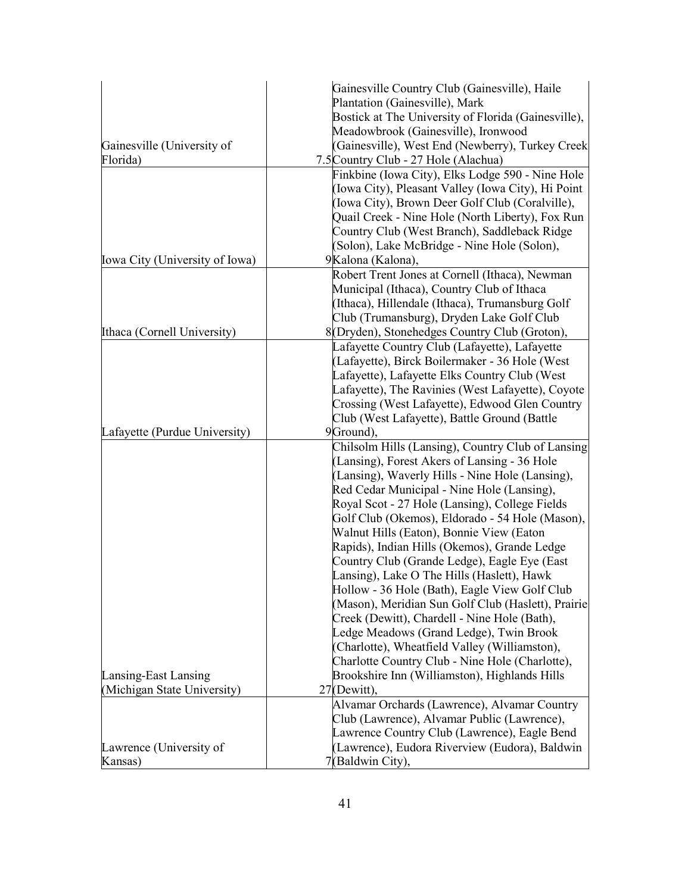|                                | Gainesville Country Club (Gainesville), Haile       |
|--------------------------------|-----------------------------------------------------|
|                                | Plantation (Gainesville), Mark                      |
|                                | Bostick at The University of Florida (Gainesville), |
|                                | Meadowbrook (Gainesville), Ironwood                 |
| Gainesville (University of     | (Gainesville), West End (Newberry), Turkey Creek    |
| Florida)                       | 7.5 Country Club - 27 Hole (Alachua)                |
|                                | Finkbine (Iowa City), Elks Lodge 590 - Nine Hole    |
|                                | (Iowa City), Pleasant Valley (Iowa City), Hi Point  |
|                                | (Iowa City), Brown Deer Golf Club (Coralville),     |
|                                | Quail Creek - Nine Hole (North Liberty), Fox Run    |
|                                | Country Club (West Branch), Saddleback Ridge        |
|                                | (Solon), Lake McBridge - Nine Hole (Solon),         |
| Iowa City (University of Iowa) | 9Kalona (Kalona),                                   |
|                                | Robert Trent Jones at Cornell (Ithaca), Newman      |
|                                | Municipal (Ithaca), Country Club of Ithaca          |
|                                | (Ithaca), Hillendale (Ithaca), Trumansburg Golf     |
|                                | Club (Trumansburg), Dryden Lake Golf Club           |
| Ithaca (Cornell University)    | 8(Dryden), Stonehedges Country Club (Groton),       |
|                                | Lafayette Country Club (Lafayette), Lafayette       |
|                                | (Lafayette), Birck Boilermaker - 36 Hole (West      |
|                                | Lafayette), Lafayette Elks Country Club (West       |
|                                | Lafayette), The Ravinies (West Lafayette), Coyote   |
|                                | Crossing (West Lafayette), Edwood Glen Country      |
|                                | Club (West Lafayette), Battle Ground (Battle        |
| Lafayette (Purdue University)  | 9Ground),                                           |
|                                | Chilsolm Hills (Lansing), Country Club of Lansing   |
|                                | (Lansing), Forest Akers of Lansing - 36 Hole        |
|                                | (Lansing), Waverly Hills - Nine Hole (Lansing),     |
|                                | Red Cedar Municipal - Nine Hole (Lansing),          |
|                                | Royal Scot - 27 Hole (Lansing), College Fields      |
|                                | Golf Club (Okemos), Eldorado - 54 Hole (Mason),     |
|                                | Walnut Hills (Eaton), Bonnie View (Eaton            |
|                                | Rapids), Indian Hills (Okemos), Grande Ledge        |
|                                | Country Club (Grande Ledge), Eagle Eye (East        |
|                                | Lansing), Lake O The Hills (Haslett), Hawk          |
|                                | Hollow - 36 Hole (Bath), Eagle View Golf Club       |
|                                | (Mason), Meridian Sun Golf Club (Haslett), Prairie  |
|                                | Creek (Dewitt), Chardell - Nine Hole (Bath),        |
|                                | Ledge Meadows (Grand Ledge), Twin Brook             |
|                                | (Charlotte), Wheatfield Valley (Williamston),       |
|                                | Charlotte Country Club - Nine Hole (Charlotte),     |
| Lansing-East Lansing           | Brookshire Inn (Williamston), Highlands Hills       |
| (Michigan State University)    | 27(Dewitt).                                         |
|                                | Alvamar Orchards (Lawrence), Alvamar Country        |
|                                | Club (Lawrence), Alvamar Public (Lawrence),         |
|                                | Lawrence Country Club (Lawrence), Eagle Bend        |
| Lawrence (University of        | (Lawrence), Eudora Riverview (Eudora), Baldwin      |
| Kansas)                        | 7(Baldwin City),                                    |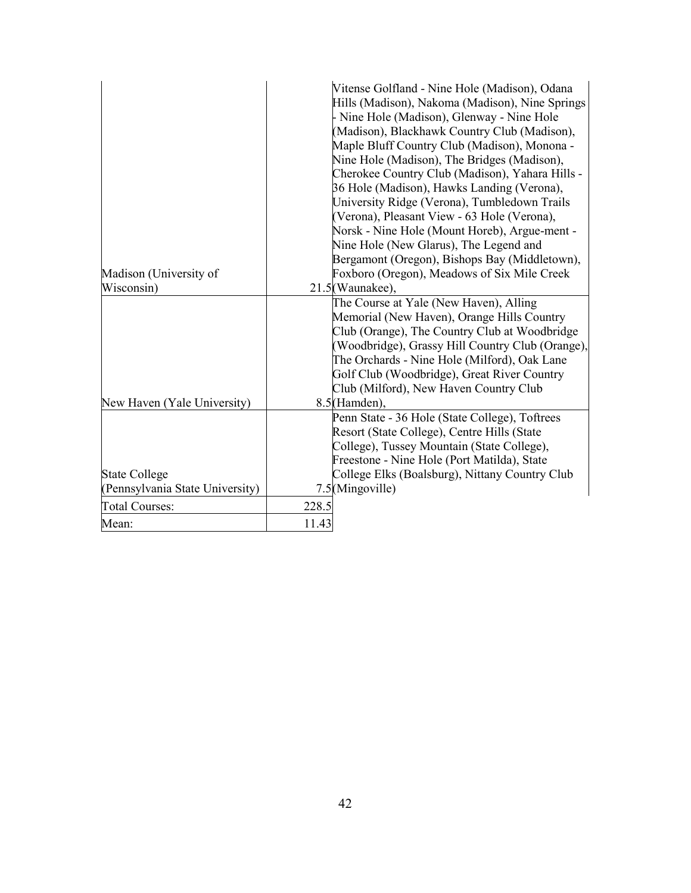|                                 |       | Vitense Golfland - Nine Hole (Madison), Odana<br>Hills (Madison), Nakoma (Madison), Nine Springs |
|---------------------------------|-------|--------------------------------------------------------------------------------------------------|
|                                 |       | Nine Hole (Madison), Glenway - Nine Hole                                                         |
|                                 |       | (Madison), Blackhawk Country Club (Madison),                                                     |
|                                 |       | Maple Bluff Country Club (Madison), Monona -                                                     |
|                                 |       | Nine Hole (Madison), The Bridges (Madison),                                                      |
|                                 |       | Cherokee Country Club (Madison), Yahara Hills -                                                  |
|                                 |       | 36 Hole (Madison), Hawks Landing (Verona),                                                       |
|                                 |       | University Ridge (Verona), Tumbledown Trails                                                     |
|                                 |       | (Verona), Pleasant View - 63 Hole (Verona),                                                      |
|                                 |       | Norsk - Nine Hole (Mount Horeb), Argue-ment -                                                    |
|                                 |       | Nine Hole (New Glarus), The Legend and                                                           |
|                                 |       | Bergamont (Oregon), Bishops Bay (Middletown),                                                    |
| Madison (University of          |       | Foxboro (Oregon), Meadows of Six Mile Creek                                                      |
| Wisconsin)                      |       | 21.5(Waunakee),                                                                                  |
|                                 |       | The Course at Yale (New Haven), Alling                                                           |
|                                 |       | Memorial (New Haven), Orange Hills Country                                                       |
|                                 |       | Club (Orange), The Country Club at Woodbridge                                                    |
|                                 |       | (Woodbridge), Grassy Hill Country Club (Orange),                                                 |
|                                 |       | The Orchards - Nine Hole (Milford), Oak Lane                                                     |
|                                 |       | Golf Club (Woodbridge), Great River Country                                                      |
|                                 |       | Club (Milford), New Haven Country Club                                                           |
| New Haven (Yale University)     |       | 8.5(Hamden),                                                                                     |
|                                 |       | Penn State - 36 Hole (State College), Toftrees                                                   |
|                                 |       | Resort (State College), Centre Hills (State                                                      |
|                                 |       | College), Tussey Mountain (State College),                                                       |
|                                 |       | Freestone - Nine Hole (Port Matilda), State                                                      |
| <b>State College</b>            |       | College Elks (Boalsburg), Nittany Country Club                                                   |
| (Pennsylvania State University) |       | 7.5(Mingoville)                                                                                  |
| <b>Total Courses:</b>           | 228.5 |                                                                                                  |
| Mean:                           | 11.43 |                                                                                                  |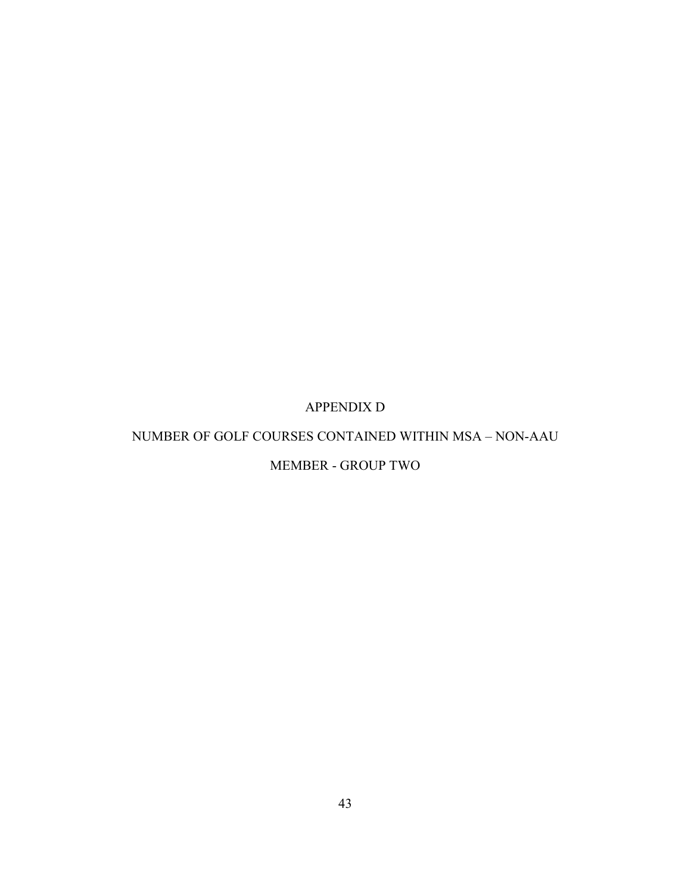# APPENDIX D

### <span id="page-53-0"></span>NUMBER OF GOLF COURSES CONTAINED WITHIN MSA – NON-AAU

# MEMBER - GROUP TWO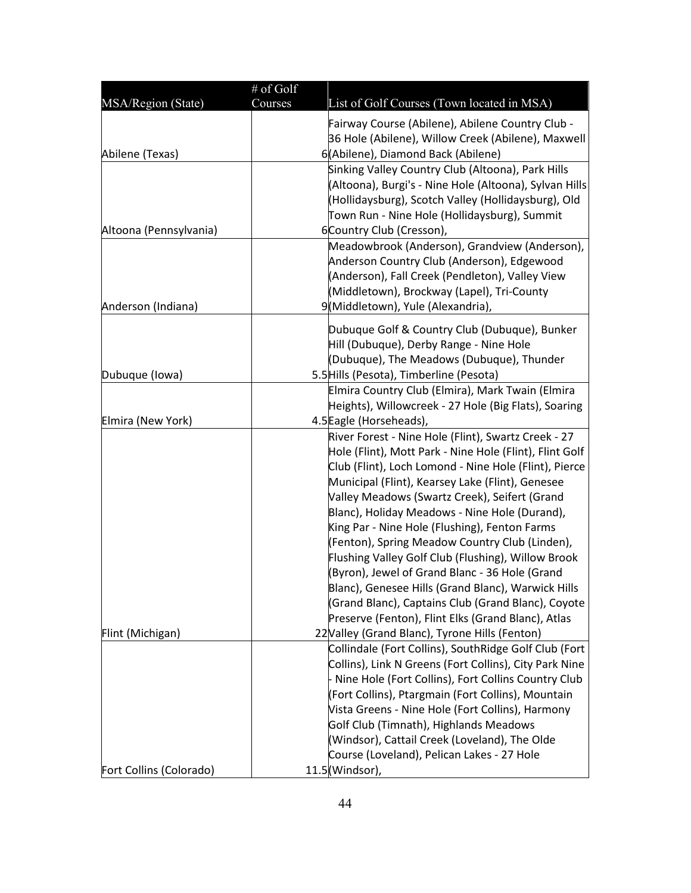|                         | # of Golf<br>Courses |                                                                                                                  |
|-------------------------|----------------------|------------------------------------------------------------------------------------------------------------------|
| MSA/Region (State)      |                      | List of Golf Courses (Town located in MSA)                                                                       |
|                         |                      | Fairway Course (Abilene), Abilene Country Club -                                                                 |
|                         |                      | 36 Hole (Abilene), Willow Creek (Abilene), Maxwell                                                               |
| Abilene (Texas)         |                      | 6(Abilene), Diamond Back (Abilene)<br>Sinking Valley Country Club (Altoona), Park Hills                          |
|                         |                      | (Altoona), Burgi's - Nine Hole (Altoona), Sylvan Hills                                                           |
|                         |                      | (Hollidaysburg), Scotch Valley (Hollidaysburg), Old                                                              |
|                         |                      | Town Run - Nine Hole (Hollidaysburg), Summit                                                                     |
| Altoona (Pennsylvania)  |                      | 6Country Club (Cresson),                                                                                         |
|                         |                      | Meadowbrook (Anderson), Grandview (Anderson),                                                                    |
|                         |                      | Anderson Country Club (Anderson), Edgewood                                                                       |
|                         |                      | (Anderson), Fall Creek (Pendleton), Valley View                                                                  |
|                         |                      | (Middletown), Brockway (Lapel), Tri-County                                                                       |
| Anderson (Indiana)      |                      | 9(Middletown), Yule (Alexandria),                                                                                |
|                         |                      | Dubuque Golf & Country Club (Dubuque), Bunker                                                                    |
|                         |                      | Hill (Dubuque), Derby Range - Nine Hole                                                                          |
|                         |                      | (Dubuque), The Meadows (Dubuque), Thunder                                                                        |
| Dubuque (Iowa)          |                      | 5.5 Hills (Pesota), Timberline (Pesota)                                                                          |
|                         |                      | Elmira Country Club (Elmira), Mark Twain (Elmira                                                                 |
|                         |                      | Heights), Willowcreek - 27 Hole (Big Flats), Soaring                                                             |
| Elmira (New York)       |                      | 4.5 Eagle (Horseheads),                                                                                          |
|                         |                      | River Forest - Nine Hole (Flint), Swartz Creek - 27                                                              |
|                         |                      | Hole (Flint), Mott Park - Nine Hole (Flint), Flint Golf<br>Club (Flint), Loch Lomond - Nine Hole (Flint), Pierce |
|                         |                      | Municipal (Flint), Kearsey Lake (Flint), Genesee                                                                 |
|                         |                      | Valley Meadows (Swartz Creek), Seifert (Grand                                                                    |
|                         |                      | Blanc), Holiday Meadows - Nine Hole (Durand),                                                                    |
|                         |                      | King Par - Nine Hole (Flushing), Fenton Farms                                                                    |
|                         |                      | (Fenton), Spring Meadow Country Club (Linden),                                                                   |
|                         |                      | Flushing Valley Golf Club (Flushing), Willow Brook                                                               |
|                         |                      | (Byron), Jewel of Grand Blanc - 36 Hole (Grand                                                                   |
|                         |                      | Blanc), Genesee Hills (Grand Blanc), Warwick Hills                                                               |
|                         |                      | (Grand Blanc), Captains Club (Grand Blanc), Coyote                                                               |
|                         |                      | Preserve (Fenton), Flint Elks (Grand Blanc), Atlas                                                               |
| Flint (Michigan)        |                      | 22 Valley (Grand Blanc), Tyrone Hills (Fenton)                                                                   |
|                         |                      | Collindale (Fort Collins), SouthRidge Golf Club (Fort                                                            |
|                         |                      | Collins), Link N Greens (Fort Collins), City Park Nine                                                           |
|                         |                      | Nine Hole (Fort Collins), Fort Collins Country Club<br>(Fort Collins), Ptargmain (Fort Collins), Mountain        |
|                         |                      | Vista Greens - Nine Hole (Fort Collins), Harmony                                                                 |
|                         |                      | Golf Club (Timnath), Highlands Meadows                                                                           |
|                         |                      | (Windsor), Cattail Creek (Loveland), The Olde                                                                    |
|                         |                      | Course (Loveland), Pelican Lakes - 27 Hole                                                                       |
| Fort Collins (Colorado) |                      | $11.5$ (Windsor),                                                                                                |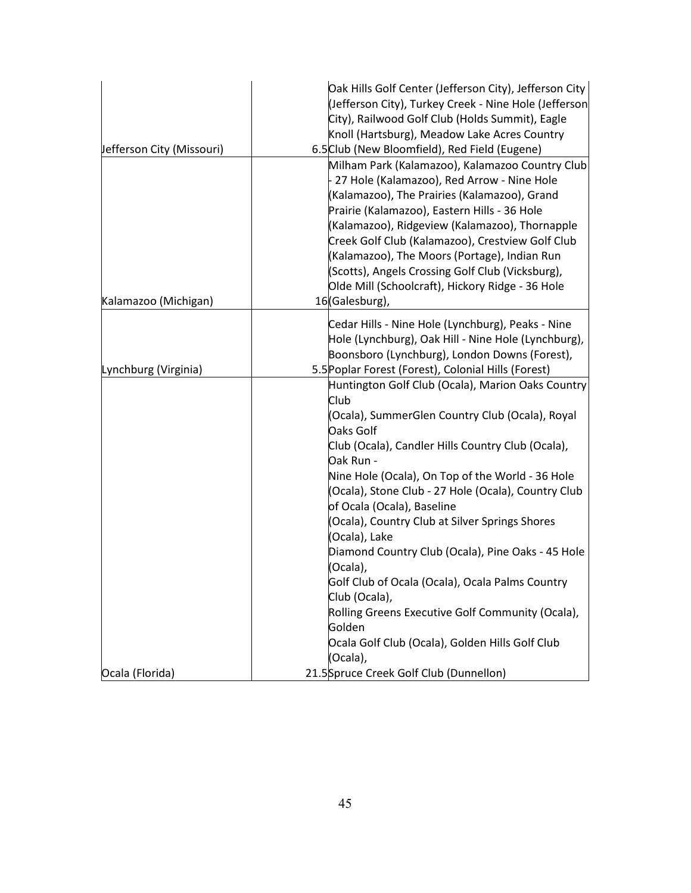|                           | Oak Hills Golf Center (Jefferson City), Jefferson City<br>(Jefferson City), Turkey Creek - Nine Hole (Jefferson<br>City), Railwood Golf Club (Holds Summit), Eagle<br>Knoll (Hartsburg), Meadow Lake Acres Country                                                                                                                                                                                                                                                            |
|---------------------------|-------------------------------------------------------------------------------------------------------------------------------------------------------------------------------------------------------------------------------------------------------------------------------------------------------------------------------------------------------------------------------------------------------------------------------------------------------------------------------|
| Jefferson City (Missouri) | 6.5 Club (New Bloomfield), Red Field (Eugene)                                                                                                                                                                                                                                                                                                                                                                                                                                 |
| Kalamazoo (Michigan)      | Milham Park (Kalamazoo), Kalamazoo Country Club<br>27 Hole (Kalamazoo), Red Arrow - Nine Hole<br>(Kalamazoo), The Prairies (Kalamazoo), Grand<br>Prairie (Kalamazoo), Eastern Hills - 36 Hole<br>(Kalamazoo), Ridgeview (Kalamazoo), Thornapple<br>Creek Golf Club (Kalamazoo), Crestview Golf Club<br>(Kalamazoo), The Moors (Portage), Indian Run<br>(Scotts), Angels Crossing Golf Club (Vicksburg),<br>Olde Mill (Schoolcraft), Hickory Ridge - 36 Hole<br>16(Galesburg), |
|                           | Cedar Hills - Nine Hole (Lynchburg), Peaks - Nine                                                                                                                                                                                                                                                                                                                                                                                                                             |
|                           | Hole (Lynchburg), Oak Hill - Nine Hole (Lynchburg),                                                                                                                                                                                                                                                                                                                                                                                                                           |
|                           | Boonsboro (Lynchburg), London Downs (Forest),                                                                                                                                                                                                                                                                                                                                                                                                                                 |
| Lynchburg (Virginia)      | 5.5 Poplar Forest (Forest), Colonial Hills (Forest)                                                                                                                                                                                                                                                                                                                                                                                                                           |
|                           | Huntington Golf Club (Ocala), Marion Oaks Country<br>Club<br>(Ocala), SummerGlen Country Club (Ocala), Royal<br>Oaks Golf<br>Club (Ocala), Candler Hills Country Club (Ocala),                                                                                                                                                                                                                                                                                                |
|                           | Oak Run -<br>Nine Hole (Ocala), On Top of the World - 36 Hole<br>(Ocala), Stone Club - 27 Hole (Ocala), Country Club                                                                                                                                                                                                                                                                                                                                                          |
|                           | of Ocala (Ocala), Baseline                                                                                                                                                                                                                                                                                                                                                                                                                                                    |
|                           | (Ocala), Country Club at Silver Springs Shores                                                                                                                                                                                                                                                                                                                                                                                                                                |
|                           | (Ocala), Lake                                                                                                                                                                                                                                                                                                                                                                                                                                                                 |
|                           | Diamond Country Club (Ocala), Pine Oaks - 45 Hole                                                                                                                                                                                                                                                                                                                                                                                                                             |
|                           | (Ocala),                                                                                                                                                                                                                                                                                                                                                                                                                                                                      |
|                           | Golf Club of Ocala (Ocala), Ocala Palms Country                                                                                                                                                                                                                                                                                                                                                                                                                               |
|                           | Club (Ocala),                                                                                                                                                                                                                                                                                                                                                                                                                                                                 |
|                           | Rolling Greens Executive Golf Community (Ocala),<br>Golden                                                                                                                                                                                                                                                                                                                                                                                                                    |
|                           | Ocala Golf Club (Ocala), Golden Hills Golf Club                                                                                                                                                                                                                                                                                                                                                                                                                               |
|                           | (Ocala),                                                                                                                                                                                                                                                                                                                                                                                                                                                                      |
| Ocala (Florida)           | 21.5Spruce Creek Golf Club (Dunnellon)                                                                                                                                                                                                                                                                                                                                                                                                                                        |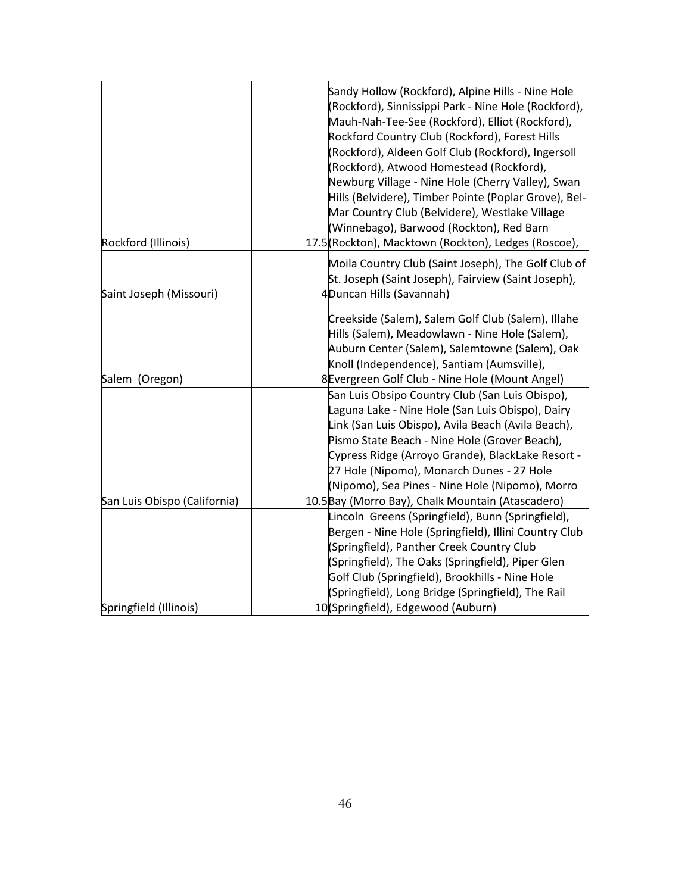| Rockford (Illinois)          | Sandy Hollow (Rockford), Alpine Hills - Nine Hole<br>(Rockford), Sinnissippi Park - Nine Hole (Rockford),<br>Mauh-Nah-Tee-See (Rockford), Elliot (Rockford),<br>Rockford Country Club (Rockford), Forest Hills<br>(Rockford), Aldeen Golf Club (Rockford), Ingersoll<br>(Rockford), Atwood Homestead (Rockford),<br>Newburg Village - Nine Hole (Cherry Valley), Swan<br>Hills (Belvidere), Timber Pointe (Poplar Grove), Bel-<br>Mar Country Club (Belvidere), Westlake Village<br>(Winnebago), Barwood (Rockton), Red Barn<br>17.5 (Rockton), Macktown (Rockton), Ledges (Roscoe), |
|------------------------------|--------------------------------------------------------------------------------------------------------------------------------------------------------------------------------------------------------------------------------------------------------------------------------------------------------------------------------------------------------------------------------------------------------------------------------------------------------------------------------------------------------------------------------------------------------------------------------------|
|                              | Moila Country Club (Saint Joseph), The Golf Club of                                                                                                                                                                                                                                                                                                                                                                                                                                                                                                                                  |
|                              | St. Joseph (Saint Joseph), Fairview (Saint Joseph),                                                                                                                                                                                                                                                                                                                                                                                                                                                                                                                                  |
| Saint Joseph (Missouri)      | 4Duncan Hills (Savannah)                                                                                                                                                                                                                                                                                                                                                                                                                                                                                                                                                             |
| Salem (Oregon)               | Creekside (Salem), Salem Golf Club (Salem), Illahe<br>Hills (Salem), Meadowlawn - Nine Hole (Salem),<br>Auburn Center (Salem), Salemtowne (Salem), Oak<br>Knoll (Independence), Santiam (Aumsville),<br>8 Evergreen Golf Club - Nine Hole (Mount Angel)                                                                                                                                                                                                                                                                                                                              |
|                              | San Luis Obsipo Country Club (San Luis Obispo),                                                                                                                                                                                                                                                                                                                                                                                                                                                                                                                                      |
|                              | Laguna Lake - Nine Hole (San Luis Obispo), Dairy                                                                                                                                                                                                                                                                                                                                                                                                                                                                                                                                     |
|                              | Link (San Luis Obispo), Avila Beach (Avila Beach),                                                                                                                                                                                                                                                                                                                                                                                                                                                                                                                                   |
|                              | Pismo State Beach - Nine Hole (Grover Beach),                                                                                                                                                                                                                                                                                                                                                                                                                                                                                                                                        |
|                              | Cypress Ridge (Arroyo Grande), BlackLake Resort -                                                                                                                                                                                                                                                                                                                                                                                                                                                                                                                                    |
|                              | 27 Hole (Nipomo), Monarch Dunes - 27 Hole                                                                                                                                                                                                                                                                                                                                                                                                                                                                                                                                            |
| San Luis Obispo (California) | (Nipomo), Sea Pines - Nine Hole (Nipomo), Morro<br>10.5 Bay (Morro Bay), Chalk Mountain (Atascadero)                                                                                                                                                                                                                                                                                                                                                                                                                                                                                 |
|                              | Lincoln Greens (Springfield), Bunn (Springfield),                                                                                                                                                                                                                                                                                                                                                                                                                                                                                                                                    |
|                              | Bergen - Nine Hole (Springfield), Illini Country Club                                                                                                                                                                                                                                                                                                                                                                                                                                                                                                                                |
|                              | (Springfield), Panther Creek Country Club                                                                                                                                                                                                                                                                                                                                                                                                                                                                                                                                            |
|                              | (Springfield), The Oaks (Springfield), Piper Glen                                                                                                                                                                                                                                                                                                                                                                                                                                                                                                                                    |
|                              | Golf Club (Springfield), Brookhills - Nine Hole                                                                                                                                                                                                                                                                                                                                                                                                                                                                                                                                      |
|                              | (Springfield), Long Bridge (Springfield), The Rail                                                                                                                                                                                                                                                                                                                                                                                                                                                                                                                                   |
| Springfield (Illinois)       | 10 (Springfield), Edgewood (Auburn)                                                                                                                                                                                                                                                                                                                                                                                                                                                                                                                                                  |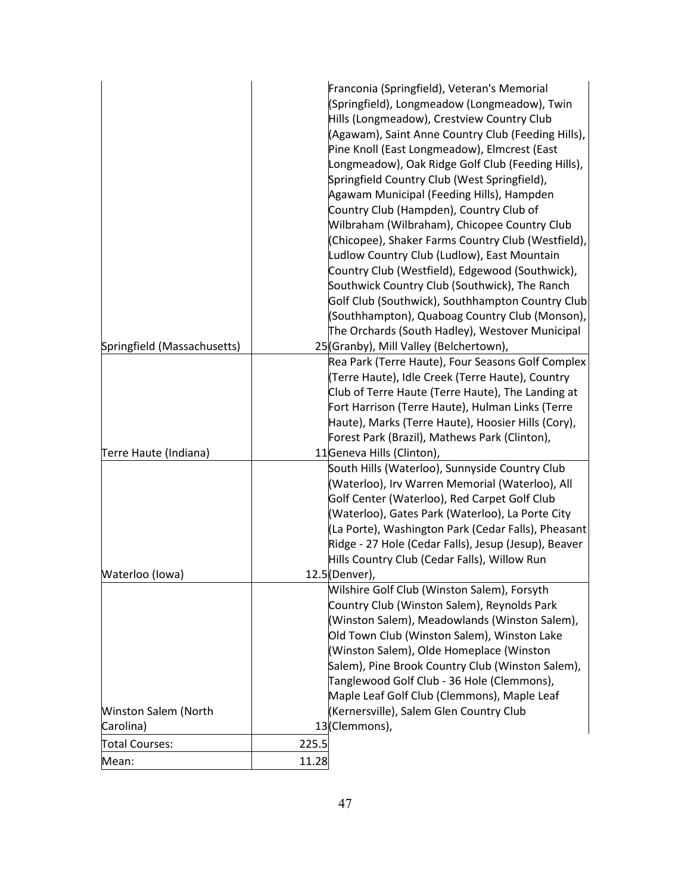|                             |       | Franconia (Springfield), Veteran's Memorial          |
|-----------------------------|-------|------------------------------------------------------|
|                             |       | (Springfield), Longmeadow (Longmeadow), Twin         |
|                             |       | Hills (Longmeadow), Crestview Country Club           |
|                             |       | (Agawam), Saint Anne Country Club (Feeding Hills),   |
|                             |       | Pine Knoll (East Longmeadow), Elmcrest (East         |
|                             |       | Longmeadow), Oak Ridge Golf Club (Feeding Hills),    |
|                             |       | Springfield Country Club (West Springfield),         |
|                             |       | Agawam Municipal (Feeding Hills), Hampden            |
|                             |       | Country Club (Hampden), Country Club of              |
|                             |       | Wilbraham (Wilbraham), Chicopee Country Club         |
|                             |       | (Chicopee), Shaker Farms Country Club (Westfield),   |
|                             |       | Ludlow Country Club (Ludlow), East Mountain          |
|                             |       | Country Club (Westfield), Edgewood (Southwick),      |
|                             |       | Southwick Country Club (Southwick), The Ranch        |
|                             |       | Golf Club (Southwick), Southhampton Country Club     |
|                             |       | (Southhampton), Quaboag Country Club (Monson),       |
|                             |       | The Orchards (South Hadley), Westover Municipal      |
| Springfield (Massachusetts) |       | 25(Granby), Mill Valley (Belchertown),               |
|                             |       | Rea Park (Terre Haute), Four Seasons Golf Complex    |
|                             |       | (Terre Haute), Idle Creek (Terre Haute), Country     |
|                             |       | Club of Terre Haute (Terre Haute), The Landing at    |
|                             |       | Fort Harrison (Terre Haute), Hulman Links (Terre     |
|                             |       | Haute), Marks (Terre Haute), Hoosier Hills (Cory),   |
|                             |       | Forest Park (Brazil), Mathews Park (Clinton),        |
| Terre Haute (Indiana)       |       | 11Geneva Hills (Clinton),                            |
|                             |       | South Hills (Waterloo), Sunnyside Country Club       |
|                             |       | (Waterloo), Irv Warren Memorial (Waterloo), All      |
|                             |       | Golf Center (Waterloo), Red Carpet Golf Club         |
|                             |       | (Waterloo), Gates Park (Waterloo), La Porte City     |
|                             |       | (La Porte), Washington Park (Cedar Falls), Pheasant  |
|                             |       | Ridge - 27 Hole (Cedar Falls), Jesup (Jesup), Beaver |
|                             |       | Hills Country Club (Cedar Falls), Willow Run         |
| Waterloo (Iowa)             |       | 12.5(Denver),                                        |
|                             |       | Wilshire Golf Club (Winston Salem), Forsyth          |
|                             |       | Country Club (Winston Salem), Reynolds Park          |
|                             |       | (Winston Salem), Meadowlands (Winston Salem),        |
|                             |       | Old Town Club (Winston Salem), Winston Lake          |
|                             |       | (Winston Salem), Olde Homeplace (Winston             |
|                             |       | Salem), Pine Brook Country Club (Winston Salem),     |
|                             |       | Tanglewood Golf Club - 36 Hole (Clemmons),           |
|                             |       | Maple Leaf Golf Club (Clemmons), Maple Leaf          |
| Winston Salem (North        |       | (Kernersville), Salem Glen Country Club              |
| Carolina)                   |       | 13(Clemmons),                                        |
| Total Courses:              | 225.5 |                                                      |
| Mean:                       | 11.28 |                                                      |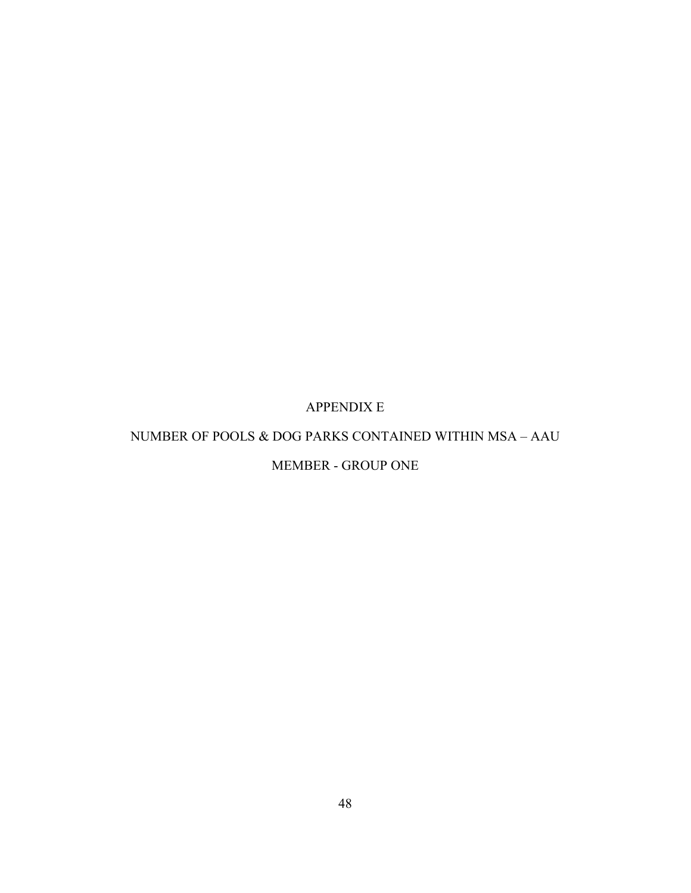# APPENDIX E

### <span id="page-58-0"></span>NUMBER OF POOLS & DOG PARKS CONTAINED WITHIN MSA – AAU

# MEMBER - GROUP ONE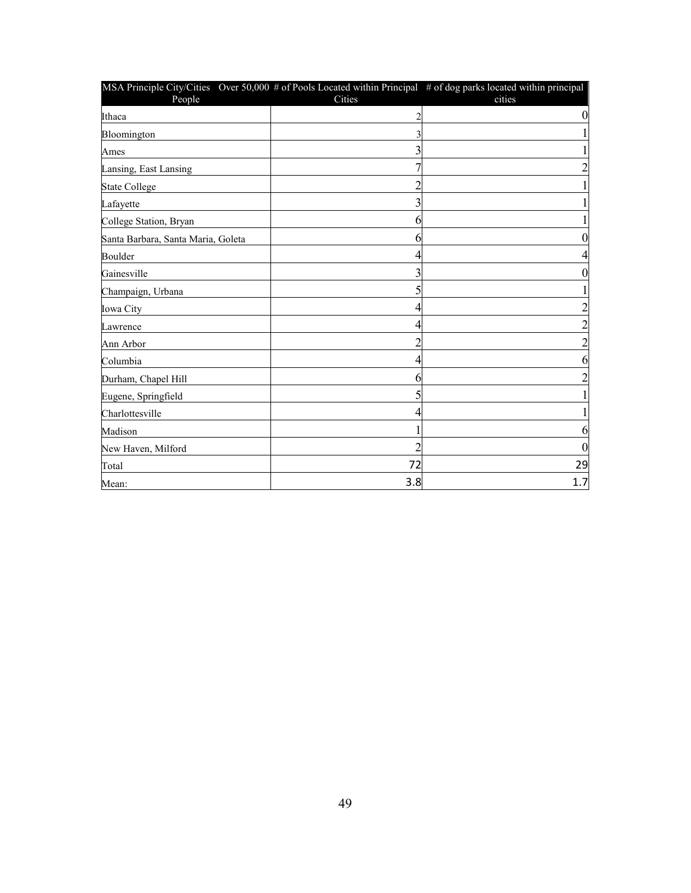| MSA Principle City/Cities Over 50,000 # of Pools Located within Principal # of dog parks located within principal<br>People | Cities         | cities   |
|-----------------------------------------------------------------------------------------------------------------------------|----------------|----------|
| Ithaca                                                                                                                      |                |          |
| Bloomington                                                                                                                 | 3              |          |
| Ames                                                                                                                        | 3              |          |
| Lansing, East Lansing                                                                                                       |                |          |
| <b>State College</b>                                                                                                        | $\overline{c}$ |          |
| Lafayette                                                                                                                   | 3              |          |
| College Station, Bryan                                                                                                      | 6              |          |
| Santa Barbara, Santa Maria, Goleta                                                                                          | 6              |          |
| Boulder                                                                                                                     | 4              |          |
| Gainesville                                                                                                                 | 3              |          |
| Champaign, Urbana                                                                                                           | 5              |          |
| Iowa City                                                                                                                   | 4              |          |
| Lawrence                                                                                                                    | 4              |          |
| Ann Arbor                                                                                                                   | 2              |          |
| Columbia                                                                                                                    | 4              | n        |
| Durham, Chapel Hill                                                                                                         | 6              |          |
| Eugene, Springfield                                                                                                         | 5              |          |
| Charlottesville                                                                                                             | 4              |          |
| Madison                                                                                                                     |                | 6        |
| New Haven, Milford                                                                                                          | $\overline{c}$ | $\theta$ |
| Total                                                                                                                       | 72             | 29       |
| Mean:                                                                                                                       | 3.8            | 1.7      |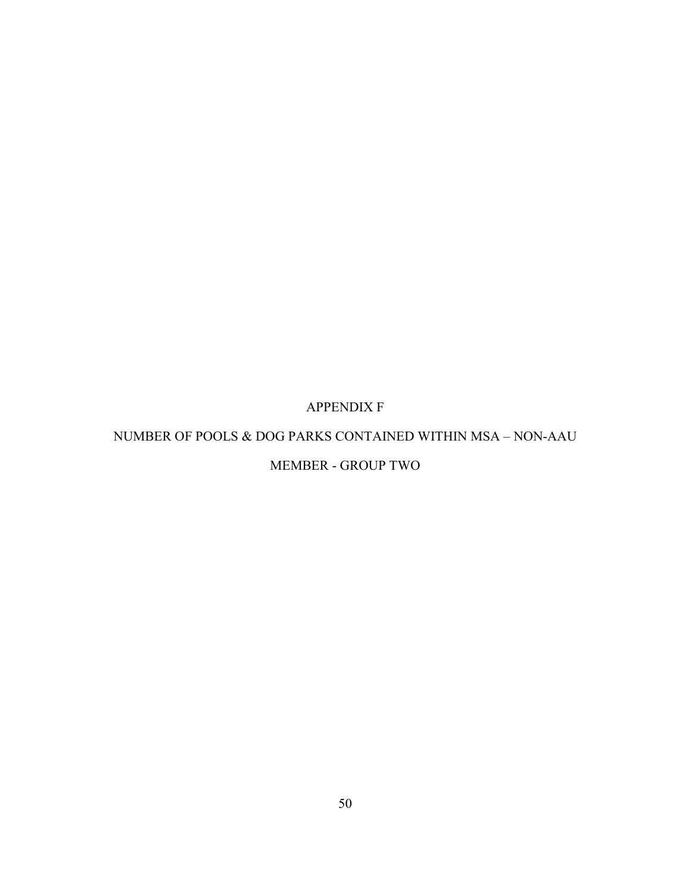# APPENDIX F

### <span id="page-60-0"></span>NUMBER OF POOLS & DOG PARKS CONTAINED WITHIN MSA – NON-AAU

# MEMBER - GROUP TWO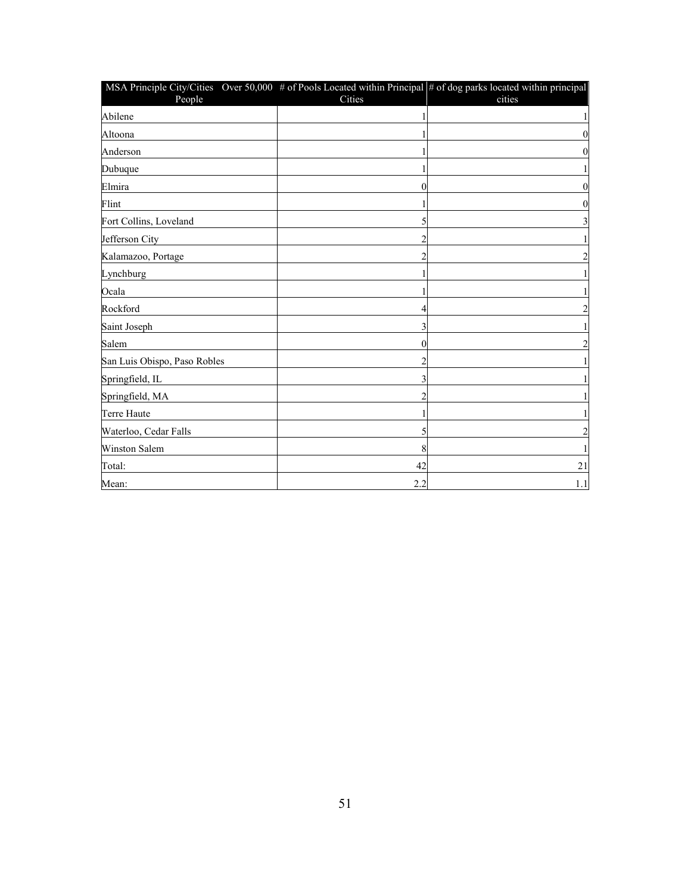| MSA Principle City/Cities Over 50,000 $\#$ of Pools Located within Principal $\#$ of dog parks located within principal<br>People | Cities | cities                  |
|-----------------------------------------------------------------------------------------------------------------------------------|--------|-------------------------|
| Abilene                                                                                                                           |        | $\mathbf{1}$            |
| Altoona                                                                                                                           |        | $\boldsymbol{0}$        |
| Anderson                                                                                                                          |        | $\boldsymbol{0}$        |
| Dubuque                                                                                                                           |        | $\mathbf{1}$            |
| Elmira                                                                                                                            | 0      | $\mathbf{0}$            |
| Flint                                                                                                                             |        | $\boldsymbol{0}$        |
| Fort Collins, Loveland                                                                                                            |        | $\overline{\mathbf{3}}$ |
| Jefferson City                                                                                                                    | 2      | $\mathbf{1}$            |
| Kalamazoo, Portage                                                                                                                |        | $\overline{2}$          |
| Lynchburg                                                                                                                         |        | $\mathbf{1}$            |
| Ocala                                                                                                                             |        | $\mathbf{1}$            |
| Rockford                                                                                                                          |        | $\overline{2}$          |
| Saint Joseph                                                                                                                      | 3      | $\mathbf{1}$            |
| Salem                                                                                                                             | 0      | $\overline{c}$          |
| San Luis Obispo, Paso Robles                                                                                                      |        | 1                       |
| Springfield, IL                                                                                                                   | 3      | $\mathbf{1}$            |
| Springfield, MA                                                                                                                   |        | $\mathbf{1}$            |
| <b>Terre Haute</b>                                                                                                                |        | $\mathbf{1}$            |
| Waterloo, Cedar Falls                                                                                                             | 5      | $\overline{c}$          |
| <b>Winston Salem</b>                                                                                                              | 8      | 1                       |
| Total:                                                                                                                            | 42     | 21                      |
| Mean:                                                                                                                             | 2.2    | 1.1                     |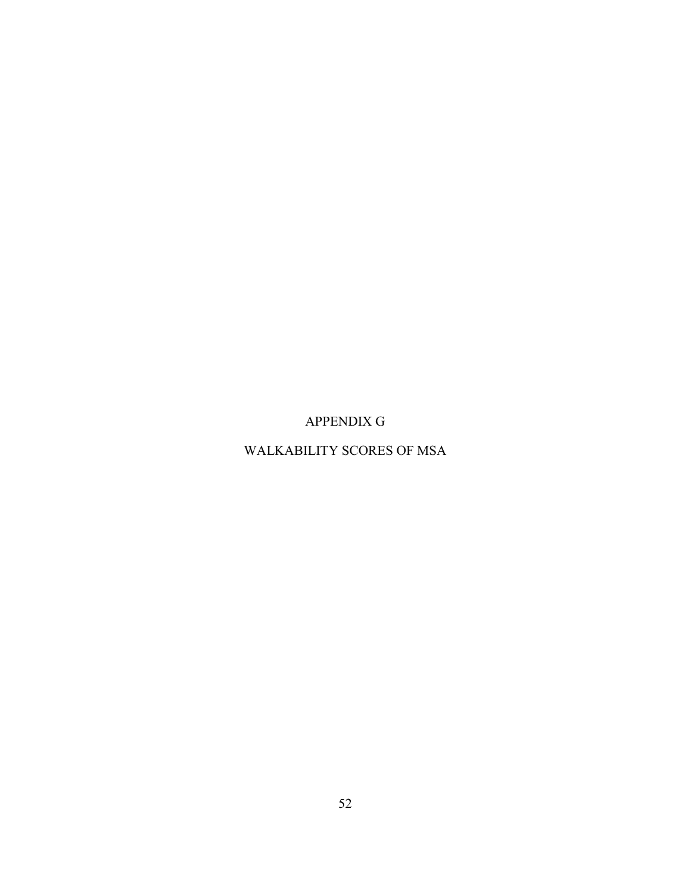APPENDIX G

<span id="page-62-0"></span>WALKABILITY SCORES OF MSA